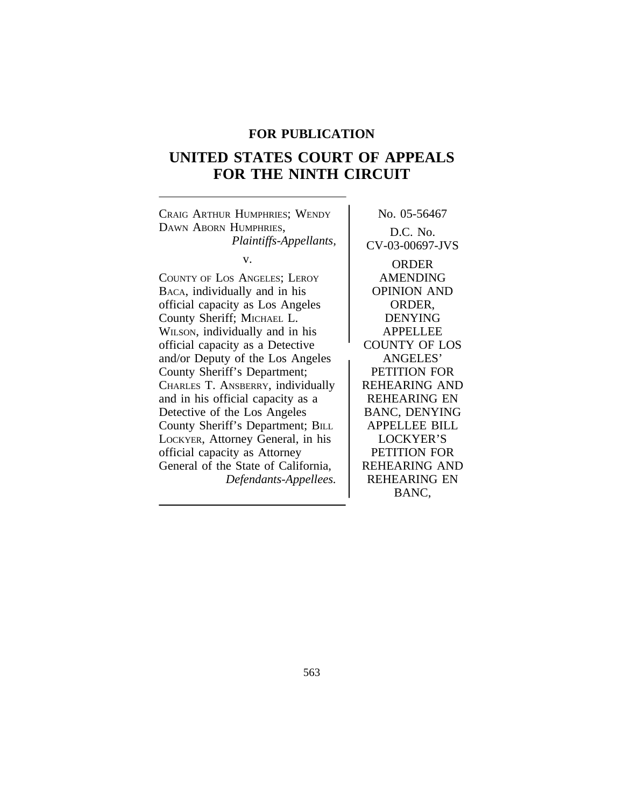# **FOR PUBLICATION**

# **UNITED STATES COURT OF APPEALS FOR THE NINTH CIRCUIT**

CRAIG ARTHUR HUMPHRIES; WENDY No. 05-56467 DAWN ABORN HUMPHRIES, D.C. No.

COUNTY OF LOS ANGELES; LEROY AMENDING BACA, individually and in his **OPINION** AND official capacity as Los Angeles ORDER, County Sheriff; MICHAEL L. DENYING WILSON, individually and in his APPELLEE official capacity as a Detective COUNTY OF LOS and/or Deputy of the Los Angeles (ANGELES' County Sheriff's Department; PETITION FOR CHARLES T. ANSBERRY, individually REHEARING AND and in his official capacity as a <br>REHEARING EN Detective of the Los Angeles | BANC, DENYING County Sheriff's Department; BILL APPELLEE BILL LOCKYER, Attorney General, in his | LOCKYER'S official capacity as Attorney **PETITION FOR** General of the State of California, REHEARING AND *Defendants-Appellees.* REHEARING EN

*Plaintiffs-Appellants,* CV-03-00697-JVS

v. ORDER BANC,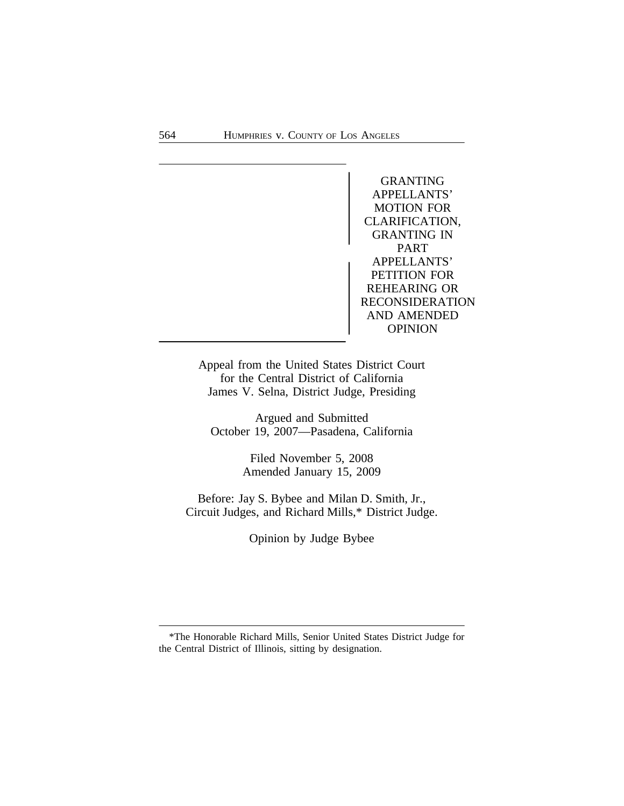GRANTING APPELLANTS' MOTION FOR CLARIFICATION, GRANTING IN PART<br>
APPELLANTS' PETITION FOR REHEARING OR RECONSIDERATION AND AMENDED OPINION

Appeal from the United States District Court for the Central District of California James V. Selna, District Judge, Presiding

Argued and Submitted October 19, 2007—Pasadena, California

> Filed November 5, 2008 Amended January 15, 2009

Before: Jay S. Bybee and Milan D. Smith, Jr., Circuit Judges, and Richard Mills,\* District Judge.

Opinion by Judge Bybee

<sup>\*</sup>The Honorable Richard Mills, Senior United States District Judge for the Central District of Illinois, sitting by designation.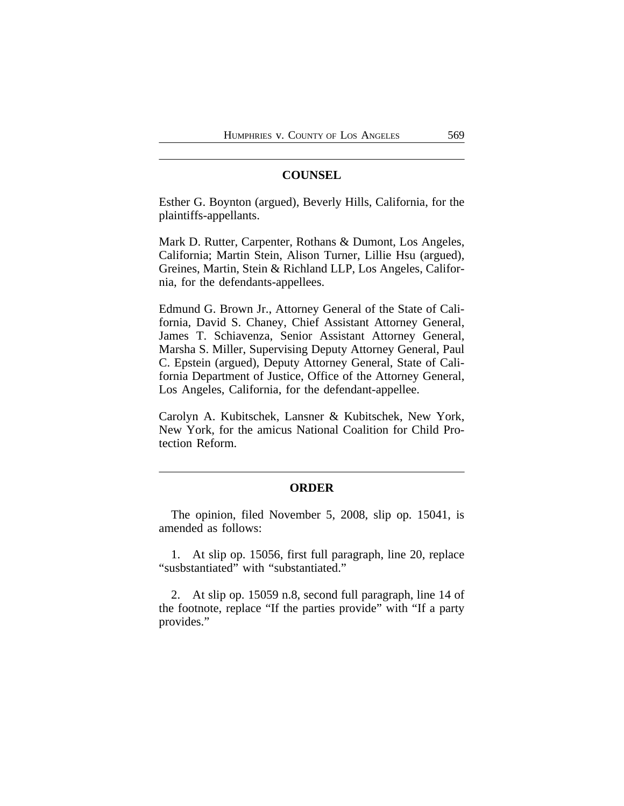# **COUNSEL**

Esther G. Boynton (argued), Beverly Hills, California, for the plaintiffs-appellants.

Mark D. Rutter, Carpenter, Rothans & Dumont, Los Angeles, California; Martin Stein, Alison Turner, Lillie Hsu (argued), Greines, Martin, Stein & Richland LLP, Los Angeles, California, for the defendants-appellees.

Edmund G. Brown Jr., Attorney General of the State of California, David S. Chaney, Chief Assistant Attorney General, James T. Schiavenza, Senior Assistant Attorney General, Marsha S. Miller, Supervising Deputy Attorney General, Paul C. Epstein (argued), Deputy Attorney General, State of California Department of Justice, Office of the Attorney General, Los Angeles, California, for the defendant-appellee.

Carolyn A. Kubitschek, Lansner & Kubitschek, New York, New York, for the amicus National Coalition for Child Protection Reform.

# **ORDER**

The opinion, filed November 5, 2008, slip op. 15041, is amended as follows:

1. At slip op. 15056, first full paragraph, line 20, replace "susbstantiated" with "substantiated."

2. At slip op. 15059 n.8, second full paragraph, line 14 of the footnote, replace "If the parties provide" with "If a party provides."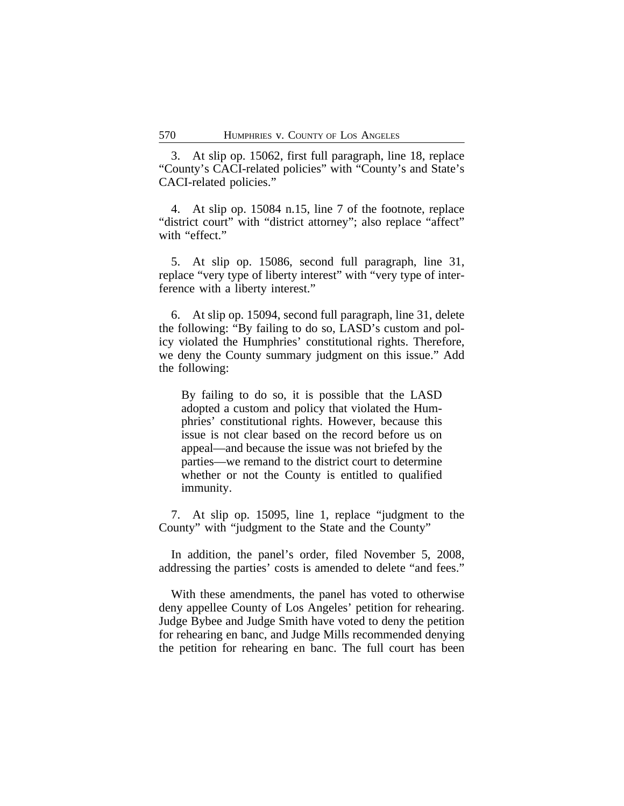3. At slip op. 15062, first full paragraph, line 18, replace "County's CACI-related policies" with "County's and State's CACI-related policies."

4. At slip op. 15084 n.15, line 7 of the footnote, replace "district court" with "district attorney"; also replace "affect" with "effect."

5. At slip op. 15086, second full paragraph, line 31, replace "very type of liberty interest" with "very type of interference with a liberty interest."

6. At slip op. 15094, second full paragraph, line 31, delete the following: "By failing to do so, LASD's custom and policy violated the Humphries' constitutional rights. Therefore, we deny the County summary judgment on this issue." Add the following:

By failing to do so, it is possible that the LASD adopted a custom and policy that violated the Humphries' constitutional rights. However, because this issue is not clear based on the record before us on appeal—and because the issue was not briefed by the parties—we remand to the district court to determine whether or not the County is entitled to qualified immunity.

7. At slip op. 15095, line 1, replace "judgment to the County" with "judgment to the State and the County"

In addition, the panel's order, filed November 5, 2008, addressing the parties' costs is amended to delete "and fees."

With these amendments, the panel has voted to otherwise deny appellee County of Los Angeles' petition for rehearing. Judge Bybee and Judge Smith have voted to deny the petition for rehearing en banc, and Judge Mills recommended denying the petition for rehearing en banc. The full court has been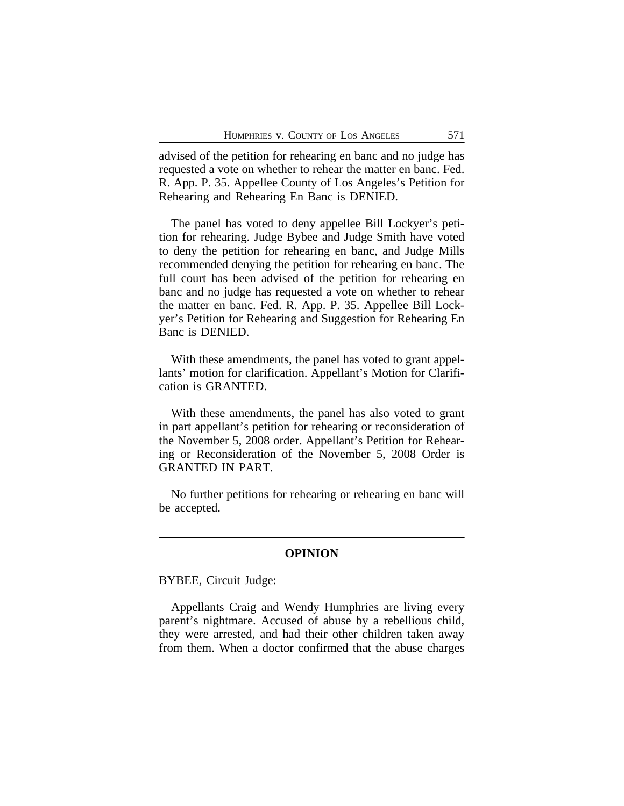advised of the petition for rehearing en banc and no judge has requested a vote on whether to rehear the matter en banc. Fed. R. App. P. 35. Appellee County of Los Angeles's Petition for Rehearing and Rehearing En Banc is DENIED.

The panel has voted to deny appellee Bill Lockyer's petition for rehearing. Judge Bybee and Judge Smith have voted to deny the petition for rehearing en banc, and Judge Mills recommended denying the petition for rehearing en banc. The full court has been advised of the petition for rehearing en banc and no judge has requested a vote on whether to rehear the matter en banc. Fed. R. App. P. 35. Appellee Bill Lockyer's Petition for Rehearing and Suggestion for Rehearing En Banc is DENIED.

With these amendments, the panel has voted to grant appellants' motion for clarification. Appellant's Motion for Clarification is GRANTED.

With these amendments, the panel has also voted to grant in part appellant's petition for rehearing or reconsideration of the November 5, 2008 order. Appellant's Petition for Rehearing or Reconsideration of the November 5, 2008 Order is GRANTED IN PART.

No further petitions for rehearing or rehearing en banc will be accepted.

# **OPINION**

BYBEE, Circuit Judge:

Appellants Craig and Wendy Humphries are living every parent's nightmare. Accused of abuse by a rebellious child, they were arrested, and had their other children taken away from them. When a doctor confirmed that the abuse charges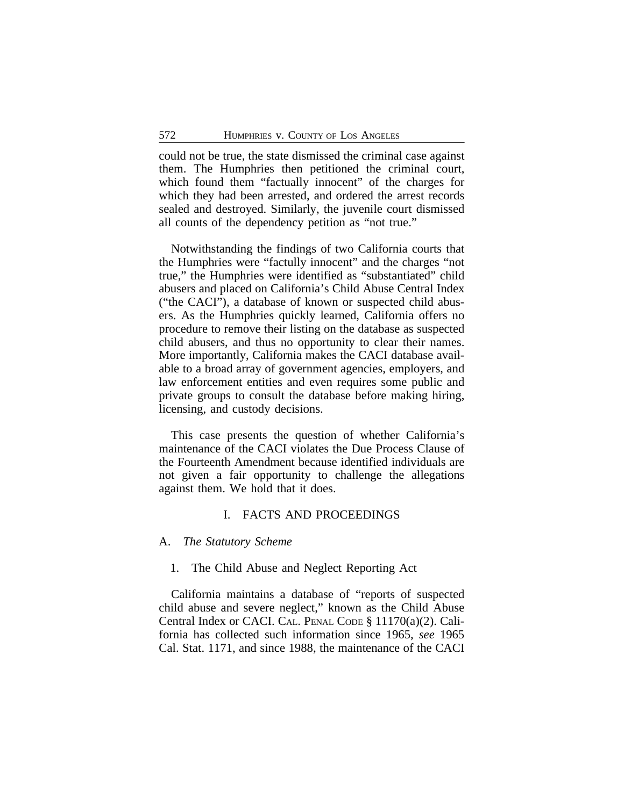could not be true, the state dismissed the criminal case against them. The Humphries then petitioned the criminal court, which found them "factually innocent" of the charges for which they had been arrested, and ordered the arrest records sealed and destroyed. Similarly, the juvenile court dismissed all counts of the dependency petition as "not true."

Notwithstanding the findings of two California courts that the Humphries were "factully innocent" and the charges "not true," the Humphries were identified as "substantiated" child abusers and placed on California's Child Abuse Central Index ("the CACI"), a database of known or suspected child abusers. As the Humphries quickly learned, California offers no procedure to remove their listing on the database as suspected child abusers, and thus no opportunity to clear their names. More importantly, California makes the CACI database available to a broad array of government agencies, employers, and law enforcement entities and even requires some public and private groups to consult the database before making hiring, licensing, and custody decisions.

This case presents the question of whether California's maintenance of the CACI violates the Due Process Clause of the Fourteenth Amendment because identified individuals are not given a fair opportunity to challenge the allegations against them. We hold that it does.

# I. FACTS AND PROCEEDINGS

#### A. *The Statutory Scheme*

# 1. The Child Abuse and Neglect Reporting Act

California maintains a database of "reports of suspected child abuse and severe neglect," known as the Child Abuse Central Index or CACI. CAL. PENAL CODE § 11170(a)(2). California has collected such information since 1965, *see* 1965 Cal. Stat. 1171, and since 1988, the maintenance of the CACI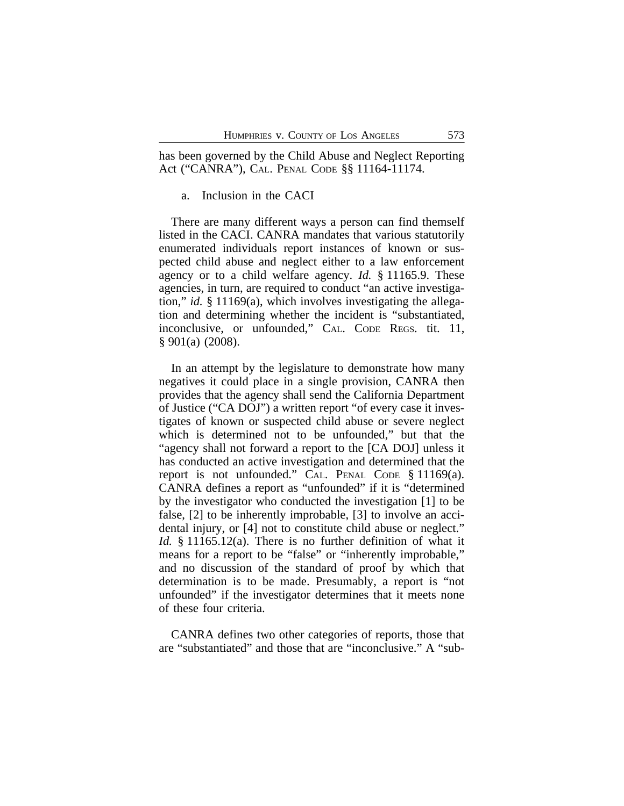has been governed by the Child Abuse and Neglect Reporting Act ("CANRA"), CAL. PENAL CODE §§ 11164-11174.

# a. Inclusion in the CACI

There are many different ways a person can find themself listed in the CACI. CANRA mandates that various statutorily enumerated individuals report instances of known or suspected child abuse and neglect either to a law enforcement agency or to a child welfare agency. *Id.* § 11165.9. These agencies, in turn, are required to conduct "an active investigation," *id.* § 11169(a), which involves investigating the allegation and determining whether the incident is "substantiated, inconclusive, or unfounded," CAL. CODE REGS. tit. 11, § 901(a) (2008).

In an attempt by the legislature to demonstrate how many negatives it could place in a single provision, CANRA then provides that the agency shall send the California Department of Justice ("CA DOJ") a written report "of every case it investigates of known or suspected child abuse or severe neglect which is determined not to be unfounded," but that the "agency shall not forward a report to the [CA DOJ] unless it has conducted an active investigation and determined that the report is not unfounded." CAL. PENAL CODE § 11169(a). CANRA defines a report as "unfounded" if it is "determined by the investigator who conducted the investigation [1] to be false, [2] to be inherently improbable, [3] to involve an accidental injury, or [4] not to constitute child abuse or neglect." *Id.* § 11165.12(a). There is no further definition of what it means for a report to be "false" or "inherently improbable," and no discussion of the standard of proof by which that determination is to be made. Presumably, a report is "not unfounded" if the investigator determines that it meets none of these four criteria.

CANRA defines two other categories of reports, those that are "substantiated" and those that are "inconclusive." A "sub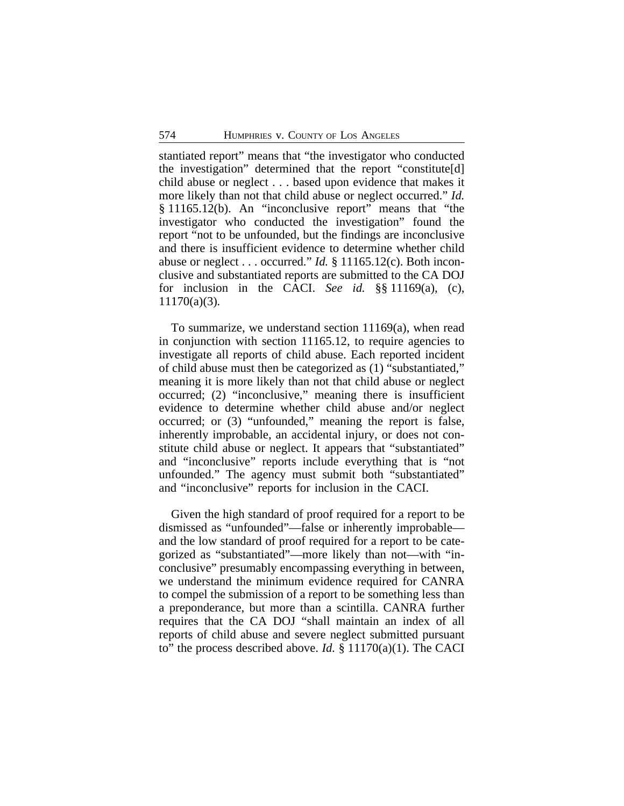stantiated report" means that "the investigator who conducted the investigation" determined that the report "constitute[d] child abuse or neglect . . . based upon evidence that makes it more likely than not that child abuse or neglect occurred." *Id.* § 11165.12(b). An "inconclusive report" means that "the investigator who conducted the investigation" found the report "not to be unfounded, but the findings are inconclusive and there is insufficient evidence to determine whether child abuse or neglect . . . occurred." *Id.* § 11165.12(c). Both inconclusive and substantiated reports are submitted to the CA DOJ for inclusion in the CACI. *See id.* §§ 11169(a), (c), 11170(a)(3)*.* 

To summarize, we understand section 11169(a), when read in conjunction with section 11165.12, to require agencies to investigate all reports of child abuse. Each reported incident of child abuse must then be categorized as (1) "substantiated," meaning it is more likely than not that child abuse or neglect occurred; (2) "inconclusive," meaning there is insufficient evidence to determine whether child abuse and/or neglect occurred; or (3) "unfounded," meaning the report is false, inherently improbable, an accidental injury, or does not constitute child abuse or neglect. It appears that "substantiated" and "inconclusive" reports include everything that is "not unfounded." The agency must submit both "substantiated" and "inconclusive" reports for inclusion in the CACI.

Given the high standard of proof required for a report to be dismissed as "unfounded"—false or inherently improbable and the low standard of proof required for a report to be categorized as "substantiated"—more likely than not—with "inconclusive" presumably encompassing everything in between, we understand the minimum evidence required for CANRA to compel the submission of a report to be something less than a preponderance, but more than a scintilla. CANRA further requires that the CA DOJ "shall maintain an index of all reports of child abuse and severe neglect submitted pursuant to" the process described above. *Id.* § 11170(a)(1). The CACI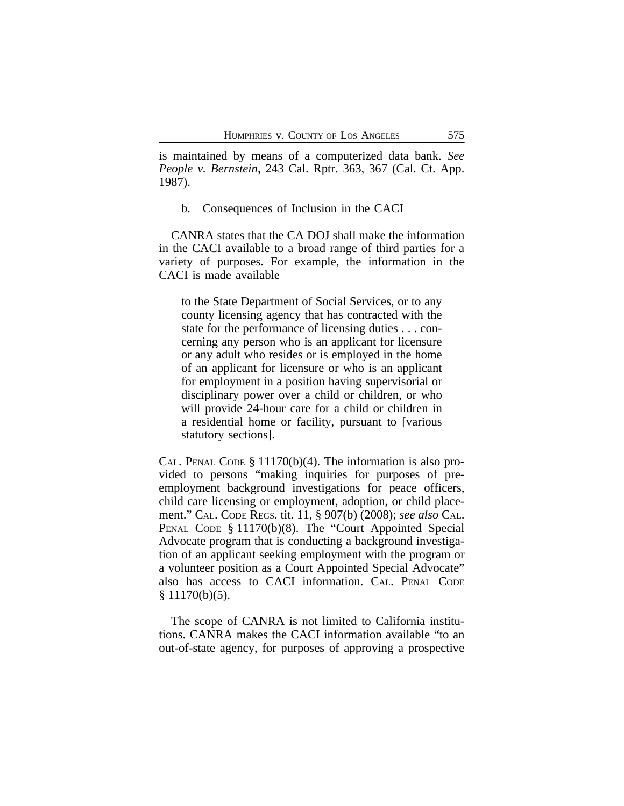is maintained by means of a computerized data bank. *See People v. Bernstein*, 243 Cal. Rptr. 363, 367 (Cal. Ct. App. 1987).

b. Consequences of Inclusion in the CACI

CANRA states that the CA DOJ shall make the information in the CACI available to a broad range of third parties for a variety of purposes. For example, the information in the CACI is made available

to the State Department of Social Services, or to any county licensing agency that has contracted with the state for the performance of licensing duties . . . concerning any person who is an applicant for licensure or any adult who resides or is employed in the home of an applicant for licensure or who is an applicant for employment in a position having supervisorial or disciplinary power over a child or children, or who will provide 24-hour care for a child or children in a residential home or facility, pursuant to [various statutory sections].

CAL. PENAL CODE § 11170(b)(4). The information is also provided to persons "making inquiries for purposes of preemployment background investigations for peace officers, child care licensing or employment, adoption, or child placement." CAL. CODE REGS. tit. 11, § 907(b) (2008); *see also* CAL. PENAL CODE § 11170(b)(8). The "Court Appointed Special Advocate program that is conducting a background investigation of an applicant seeking employment with the program or a volunteer position as a Court Appointed Special Advocate" also has access to CACI information. CAL. PENAL CODE  $§ 11170(b)(5).$ 

The scope of CANRA is not limited to California institutions. CANRA makes the CACI information available "to an out-of-state agency, for purposes of approving a prospective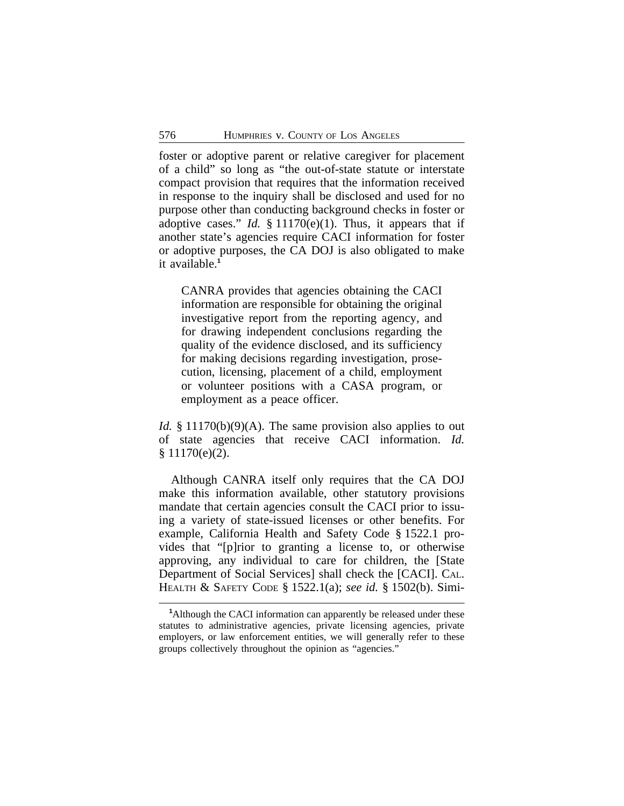foster or adoptive parent or relative caregiver for placement of a child" so long as "the out-of-state statute or interstate compact provision that requires that the information received in response to the inquiry shall be disclosed and used for no purpose other than conducting background checks in foster or adoptive cases." *Id.*  $\S 11170(e)(1)$ . Thus, it appears that if another state's agencies require CACI information for foster or adoptive purposes, the CA DOJ is also obligated to make it available.**<sup>1</sup>**

CANRA provides that agencies obtaining the CACI information are responsible for obtaining the original investigative report from the reporting agency, and for drawing independent conclusions regarding the quality of the evidence disclosed, and its sufficiency for making decisions regarding investigation, prosecution, licensing, placement of a child, employment or volunteer positions with a CASA program, or employment as a peace officer.

*Id.* § 11170(b)(9)(A). The same provision also applies to out of state agencies that receive CACI information. *Id.* § 11170(e)(2).

Although CANRA itself only requires that the CA DOJ make this information available, other statutory provisions mandate that certain agencies consult the CACI prior to issuing a variety of state-issued licenses or other benefits. For example, California Health and Safety Code § 1522.1 provides that "[p]rior to granting a license to, or otherwise approving, any individual to care for children, the [State Department of Social Services] shall check the [CACI]. CAL. HEALTH & SAFETY CODE § 1522.1(a); *see id.* § 1502(b). Simi-

**<sup>1</sup>**Although the CACI information can apparently be released under these statutes to administrative agencies, private licensing agencies, private employers, or law enforcement entities, we will generally refer to these groups collectively throughout the opinion as "agencies."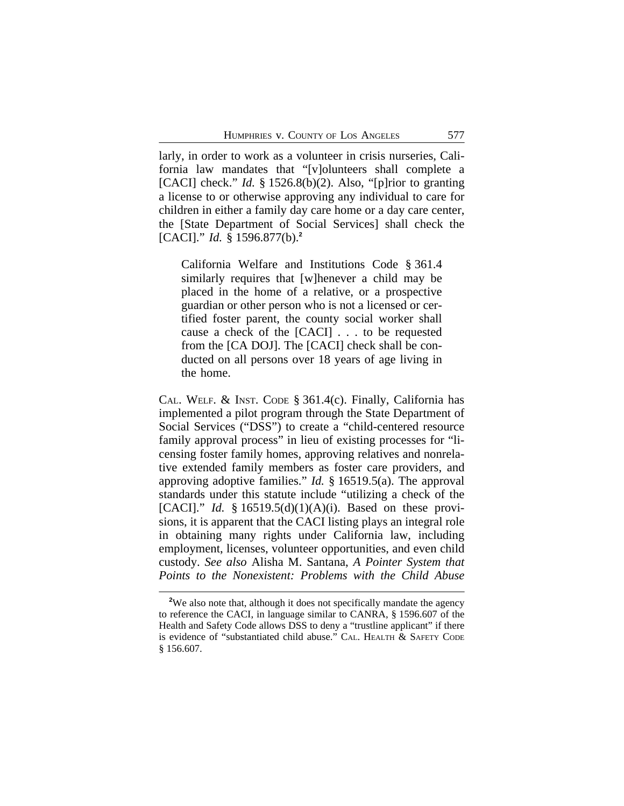larly, in order to work as a volunteer in crisis nurseries, California law mandates that "[v]olunteers shall complete a [CACI] check." *Id.* § 1526.8(b)(2). Also, "[p]rior to granting a license to or otherwise approving any individual to care for children in either a family day care home or a day care center, the [State Department of Social Services] shall check the [CACI]." *Id.* § 1596.877(b).**<sup>2</sup>**

California Welfare and Institutions Code § 361.4 similarly requires that [w]henever a child may be placed in the home of a relative, or a prospective guardian or other person who is not a licensed or certified foster parent, the county social worker shall cause a check of the [CACI] . . . to be requested from the [CA DOJ]. The [CACI] check shall be conducted on all persons over 18 years of age living in the home.

CAL. WELF. & INST. CODE § 361.4(c). Finally, California has implemented a pilot program through the State Department of Social Services ("DSS") to create a "child-centered resource family approval process" in lieu of existing processes for "licensing foster family homes, approving relatives and nonrelative extended family members as foster care providers, and approving adoptive families." *Id.* § 16519.5(a). The approval standards under this statute include "utilizing a check of the [CACI]." *Id.* § 16519.5(d)(1)(A)(i). Based on these provisions, it is apparent that the CACI listing plays an integral role in obtaining many rights under California law, including employment, licenses, volunteer opportunities, and even child custody. *See also* Alisha M. Santana, *A Pointer System that Points to the Nonexistent: Problems with the Child Abuse*

<sup>&</sup>lt;sup>2</sup>We also note that, although it does not specifically mandate the agency to reference the CACI, in language similar to CANRA, § 1596.607 of the Health and Safety Code allows DSS to deny a "trustline applicant" if there is evidence of "substantiated child abuse." CAL. HEALTH & SAFETY CODE § 156.607.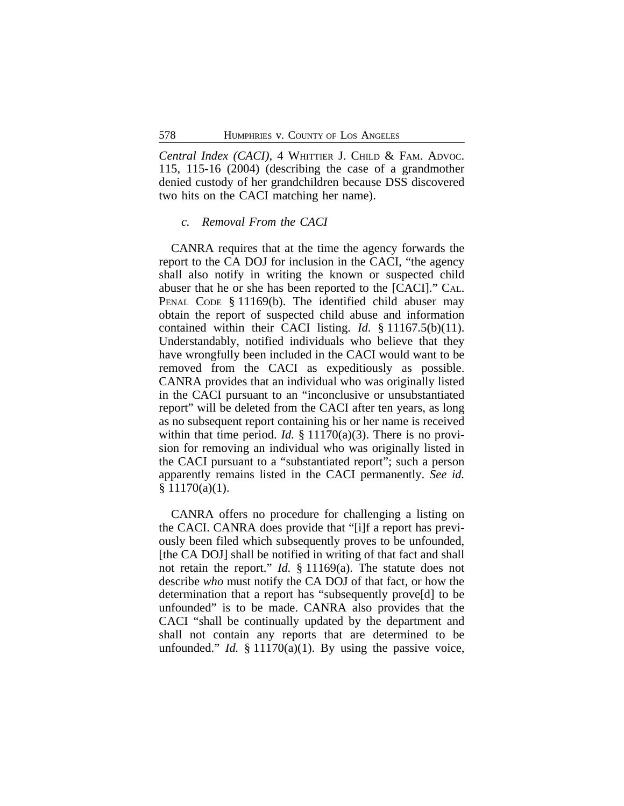*Central Index (CACI)*, 4 WHITTIER J. CHILD & FAM. ADVOC. 115, 115-16 (2004) (describing the case of a grandmother denied custody of her grandchildren because DSS discovered two hits on the CACI matching her name).

#### *c. Removal From the CACI*

CANRA requires that at the time the agency forwards the report to the CA DOJ for inclusion in the CACI, "the agency shall also notify in writing the known or suspected child abuser that he or she has been reported to the [CACI]." CAL. PENAL CODE § 11169(b). The identified child abuser may obtain the report of suspected child abuse and information contained within their CACI listing. *Id*. § 11167.5(b)(11). Understandably, notified individuals who believe that they have wrongfully been included in the CACI would want to be removed from the CACI as expeditiously as possible. CANRA provides that an individual who was originally listed in the CACI pursuant to an "inconclusive or unsubstantiated report" will be deleted from the CACI after ten years, as long as no subsequent report containing his or her name is received within that time period. *Id.* § 11170(a)(3). There is no provision for removing an individual who was originally listed in the CACI pursuant to a "substantiated report"; such a person apparently remains listed in the CACI permanently. *See id.*  $§ 11170(a)(1).$ 

CANRA offers no procedure for challenging a listing on the CACI. CANRA does provide that "[i]f a report has previously been filed which subsequently proves to be unfounded, [the CA DOJ] shall be notified in writing of that fact and shall not retain the report." *Id.* § 11169(a). The statute does not describe *who* must notify the CA DOJ of that fact, or how the determination that a report has "subsequently prove[d] to be unfounded" is to be made. CANRA also provides that the CACI "shall be continually updated by the department and shall not contain any reports that are determined to be unfounded." *Id.* § 11170(a)(1). By using the passive voice,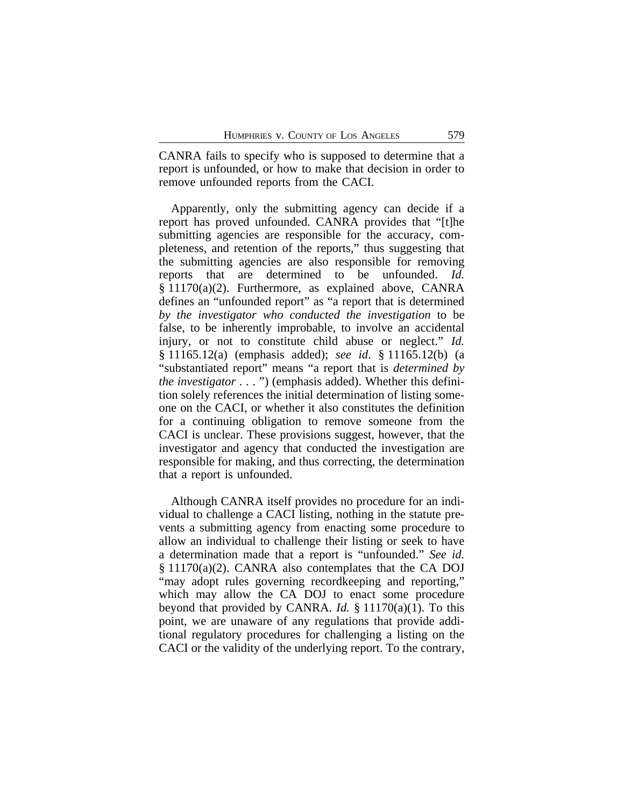CANRA fails to specify who is supposed to determine that a report is unfounded, or how to make that decision in order to remove unfounded reports from the CACI.

Apparently, only the submitting agency can decide if a report has proved unfounded. CANRA provides that "[t]he submitting agencies are responsible for the accuracy, completeness, and retention of the reports," thus suggesting that the submitting agencies are also responsible for removing reports that are determined to be unfounded. *Id.* § 11170(a)(2). Furthermore, as explained above, CANRA defines an "unfounded report" as "a report that is determined *by the investigator who conducted the investigation* to be false, to be inherently improbable, to involve an accidental injury, or not to constitute child abuse or neglect." *Id.* § 11165.12(a) (emphasis added); *see id*. § 11165.12(b) (a "substantiated report" means "a report that is *determined by the investigator* . . . ") (emphasis added). Whether this definition solely references the initial determination of listing someone on the CACI, or whether it also constitutes the definition for a continuing obligation to remove someone from the CACI is unclear. These provisions suggest, however, that the investigator and agency that conducted the investigation are responsible for making, and thus correcting, the determination that a report is unfounded.

Although CANRA itself provides no procedure for an individual to challenge a CACI listing, nothing in the statute prevents a submitting agency from enacting some procedure to allow an individual to challenge their listing or seek to have a determination made that a report is "unfounded." *See id.* § 11170(a)(2). CANRA also contemplates that the CA DOJ "may adopt rules governing recordkeeping and reporting," which may allow the CA DOJ to enact some procedure beyond that provided by CANRA. *Id.* § 11170(a)(1). To this point, we are unaware of any regulations that provide additional regulatory procedures for challenging a listing on the CACI or the validity of the underlying report. To the contrary,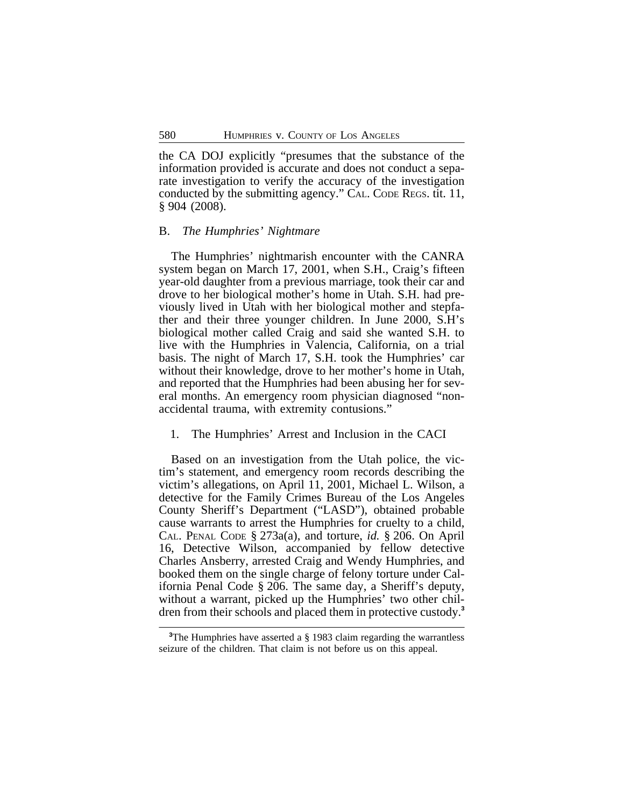the CA DOJ explicitly "presumes that the substance of the information provided is accurate and does not conduct a separate investigation to verify the accuracy of the investigation conducted by the submitting agency." CAL. CODE REGS. tit. 11, § 904 (2008).

#### B. *The Humphries' Nightmare*

The Humphries' nightmarish encounter with the CANRA system began on March 17, 2001, when S.H., Craig's fifteen year-old daughter from a previous marriage, took their car and drove to her biological mother's home in Utah. S.H. had previously lived in Utah with her biological mother and stepfather and their three younger children. In June 2000, S.H's biological mother called Craig and said she wanted S.H. to live with the Humphries in Valencia, California, on a trial basis. The night of March 17, S.H. took the Humphries' car without their knowledge, drove to her mother's home in Utah, and reported that the Humphries had been abusing her for several months. An emergency room physician diagnosed "nonaccidental trauma, with extremity contusions."

### 1. The Humphries' Arrest and Inclusion in the CACI

Based on an investigation from the Utah police, the victim's statement, and emergency room records describing the victim's allegations, on April 11, 2001, Michael L. Wilson, a detective for the Family Crimes Bureau of the Los Angeles County Sheriff's Department ("LASD"), obtained probable cause warrants to arrest the Humphries for cruelty to a child, CAL. PENAL CODE § 273a(a), and torture, *id.* § 206. On April 16, Detective Wilson, accompanied by fellow detective Charles Ansberry, arrested Craig and Wendy Humphries, and booked them on the single charge of felony torture under California Penal Code § 206. The same day, a Sheriff's deputy, without a warrant, picked up the Humphries' two other children from their schools and placed them in protective custody.**<sup>3</sup>**

<sup>&</sup>lt;sup>3</sup>The Humphries have asserted a § 1983 claim regarding the warrantless seizure of the children. That claim is not before us on this appeal.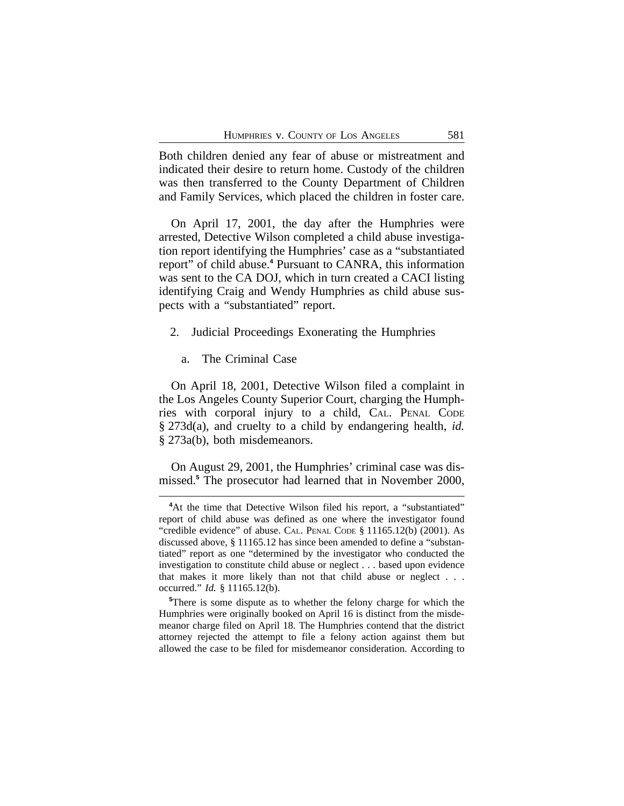Both children denied any fear of abuse or mistreatment and indicated their desire to return home. Custody of the children was then transferred to the County Department of Children and Family Services, which placed the children in foster care.

On April 17, 2001, the day after the Humphries were arrested, Detective Wilson completed a child abuse investigation report identifying the Humphries' case as a "substantiated report" of child abuse.**<sup>4</sup>** Pursuant to CANRA, this information was sent to the CA DOJ, which in turn created a CACI listing identifying Craig and Wendy Humphries as child abuse suspects with a "substantiated" report.

- 2. Judicial Proceedings Exonerating the Humphries
	- a. The Criminal Case

On April 18, 2001, Detective Wilson filed a complaint in the Los Angeles County Superior Court, charging the Humphries with corporal injury to a child, CAL. PENAL CODE § 273d(a), and cruelty to a child by endangering health, *id.* § 273a(b), both misdemeanors.

On August 29, 2001, the Humphries' criminal case was dismissed.**<sup>5</sup>** The prosecutor had learned that in November 2000,

<sup>&</sup>lt;sup>4</sup>At the time that Detective Wilson filed his report, a "substantiated" report of child abuse was defined as one where the investigator found "credible evidence" of abuse. CAL. PENAL CODE § 11165.12(b) (2001). As discussed above, § 11165.12 has since been amended to define a "substantiated" report as one "determined by the investigator who conducted the investigation to constitute child abuse or neglect . . . based upon evidence that makes it more likely than not that child abuse or neglect . . . occurred." *Id.* § 11165.12(b).

**<sup>5</sup>**There is some dispute as to whether the felony charge for which the Humphries were originally booked on April 16 is distinct from the misdemeanor charge filed on April 18. The Humphries contend that the district attorney rejected the attempt to file a felony action against them but allowed the case to be filed for misdemeanor consideration. According to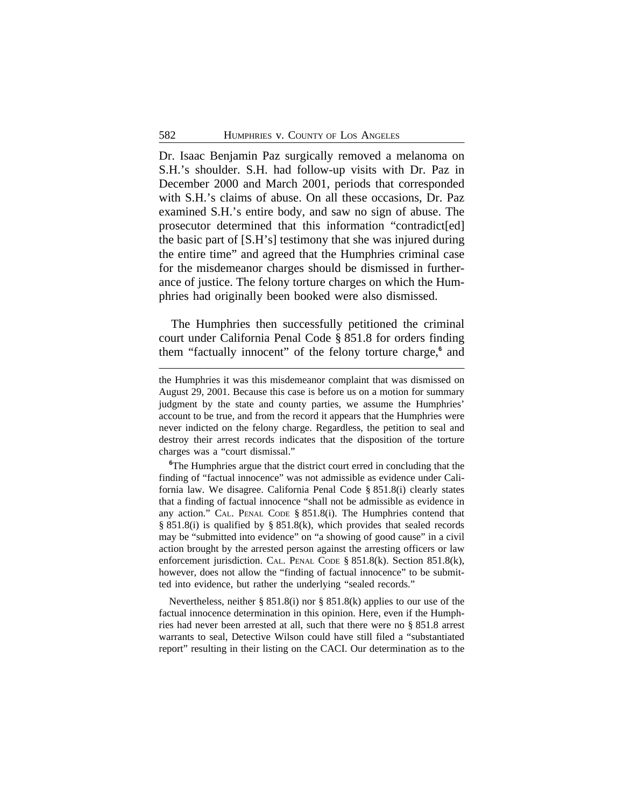Dr. Isaac Benjamin Paz surgically removed a melanoma on S.H.'s shoulder. S.H. had follow-up visits with Dr. Paz in December 2000 and March 2001, periods that corresponded with S.H.'s claims of abuse. On all these occasions, Dr. Paz examined S.H.'s entire body, and saw no sign of abuse. The prosecutor determined that this information "contradict[ed] the basic part of [S.H's] testimony that she was injured during the entire time" and agreed that the Humphries criminal case for the misdemeanor charges should be dismissed in furtherance of justice. The felony torture charges on which the Humphries had originally been booked were also dismissed.

The Humphries then successfully petitioned the criminal court under California Penal Code § 851.8 for orders finding them "factually innocent" of the felony torture charge,**<sup>6</sup>** and

**<sup>6</sup>**The Humphries argue that the district court erred in concluding that the finding of "factual innocence" was not admissible as evidence under California law. We disagree. California Penal Code § 851.8(i) clearly states that a finding of factual innocence "shall not be admissible as evidence in any action." CAL. PENAL CODE § 851.8(i). The Humphries contend that § 851.8(i) is qualified by § 851.8(k), which provides that sealed records may be "submitted into evidence" on "a showing of good cause" in a civil action brought by the arrested person against the arresting officers or law enforcement jurisdiction. CAL. PENAL CODE § 851.8(k). Section 851.8(k), however, does not allow the "finding of factual innocence" to be submitted into evidence, but rather the underlying "sealed records."

Nevertheless, neither § 851.8(i) nor § 851.8(k) applies to our use of the factual innocence determination in this opinion. Here, even if the Humphries had never been arrested at all, such that there were no § 851.8 arrest warrants to seal, Detective Wilson could have still filed a "substantiated report" resulting in their listing on the CACI. Our determination as to the

the Humphries it was this misdemeanor complaint that was dismissed on August 29, 2001. Because this case is before us on a motion for summary judgment by the state and county parties, we assume the Humphries' account to be true, and from the record it appears that the Humphries were never indicted on the felony charge. Regardless, the petition to seal and destroy their arrest records indicates that the disposition of the torture charges was a "court dismissal."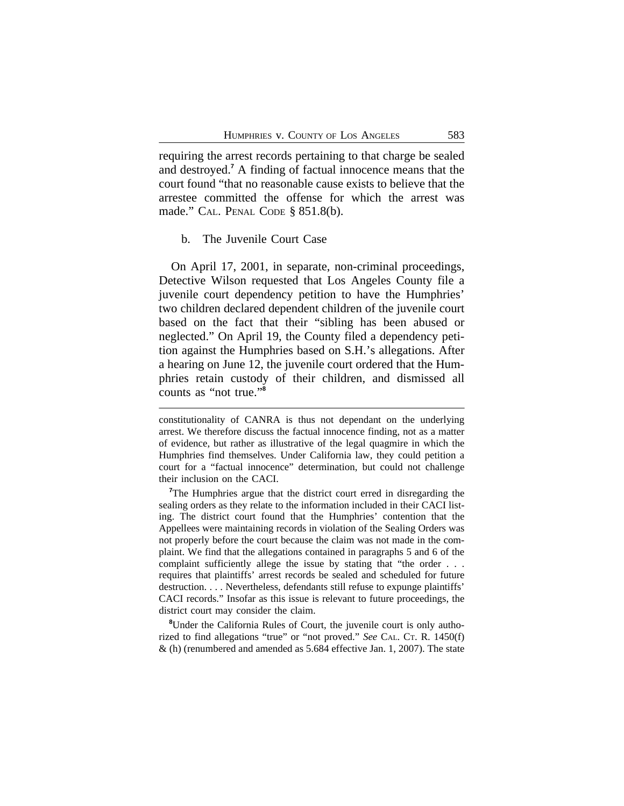requiring the arrest records pertaining to that charge be sealed and destroyed.**<sup>7</sup>** A finding of factual innocence means that the court found "that no reasonable cause exists to believe that the arrestee committed the offense for which the arrest was made." CAL. PENAL CODE § 851.8(b).

#### b. The Juvenile Court Case

On April 17, 2001, in separate, non-criminal proceedings, Detective Wilson requested that Los Angeles County file a juvenile court dependency petition to have the Humphries' two children declared dependent children of the juvenile court based on the fact that their "sibling has been abused or neglected." On April 19, the County filed a dependency petition against the Humphries based on S.H.'s allegations. After a hearing on June 12, the juvenile court ordered that the Humphries retain custody of their children, and dismissed all counts as "not true." **8**

**<sup>8</sup>**Under the California Rules of Court, the juvenile court is only authorized to find allegations "true" or "not proved." *See* CAL. CT. R. 1450(f) & (h) (renumbered and amended as 5.684 effective Jan. 1, 2007). The state

constitutionality of CANRA is thus not dependant on the underlying arrest. We therefore discuss the factual innocence finding, not as a matter of evidence, but rather as illustrative of the legal quagmire in which the Humphries find themselves. Under California law, they could petition a court for a "factual innocence" determination, but could not challenge their inclusion on the CACI.

<sup>&</sup>lt;sup>7</sup>The Humphries argue that the district court erred in disregarding the sealing orders as they relate to the information included in their CACI listing. The district court found that the Humphries' contention that the Appellees were maintaining records in violation of the Sealing Orders was not properly before the court because the claim was not made in the complaint. We find that the allegations contained in paragraphs 5 and 6 of the complaint sufficiently allege the issue by stating that "the order . . . requires that plaintiffs' arrest records be sealed and scheduled for future destruction. . . . Nevertheless, defendants still refuse to expunge plaintiffs' CACI records." Insofar as this issue is relevant to future proceedings, the district court may consider the claim.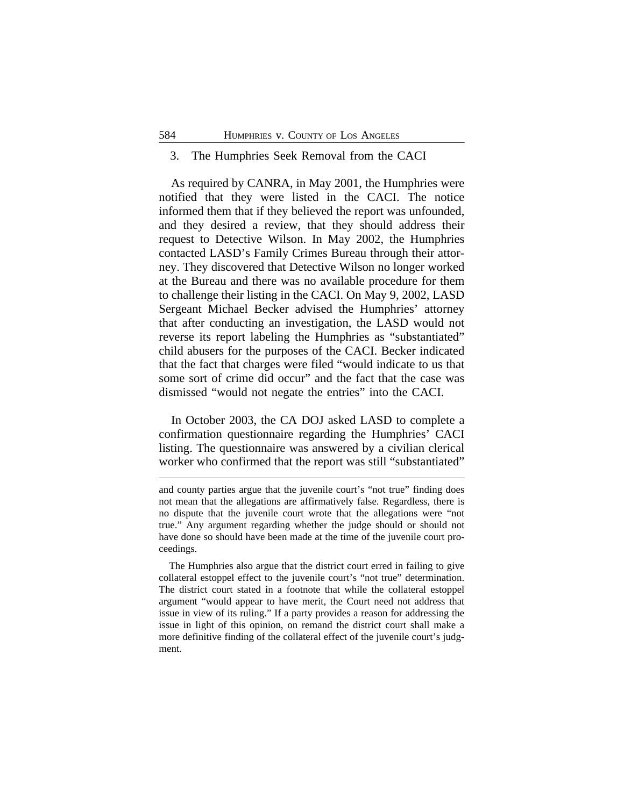#### 3. The Humphries Seek Removal from the CACI

As required by CANRA, in May 2001, the Humphries were notified that they were listed in the CACI. The notice informed them that if they believed the report was unfounded, and they desired a review, that they should address their request to Detective Wilson. In May 2002, the Humphries contacted LASD's Family Crimes Bureau through their attorney. They discovered that Detective Wilson no longer worked at the Bureau and there was no available procedure for them to challenge their listing in the CACI. On May 9, 2002, LASD Sergeant Michael Becker advised the Humphries' attorney that after conducting an investigation, the LASD would not reverse its report labeling the Humphries as "substantiated" child abusers for the purposes of the CACI. Becker indicated that the fact that charges were filed "would indicate to us that some sort of crime did occur" and the fact that the case was dismissed "would not negate the entries" into the CACI.

In October 2003, the CA DOJ asked LASD to complete a confirmation questionnaire regarding the Humphries' CACI listing. The questionnaire was answered by a civilian clerical worker who confirmed that the report was still "substantiated"

and county parties argue that the juvenile court's "not true" finding does not mean that the allegations are affirmatively false. Regardless, there is no dispute that the juvenile court wrote that the allegations were "not true." Any argument regarding whether the judge should or should not have done so should have been made at the time of the juvenile court proceedings.

The Humphries also argue that the district court erred in failing to give collateral estoppel effect to the juvenile court's "not true" determination. The district court stated in a footnote that while the collateral estoppel argument "would appear to have merit, the Court need not address that issue in view of its ruling." If a party provides a reason for addressing the issue in light of this opinion, on remand the district court shall make a more definitive finding of the collateral effect of the juvenile court's judgment.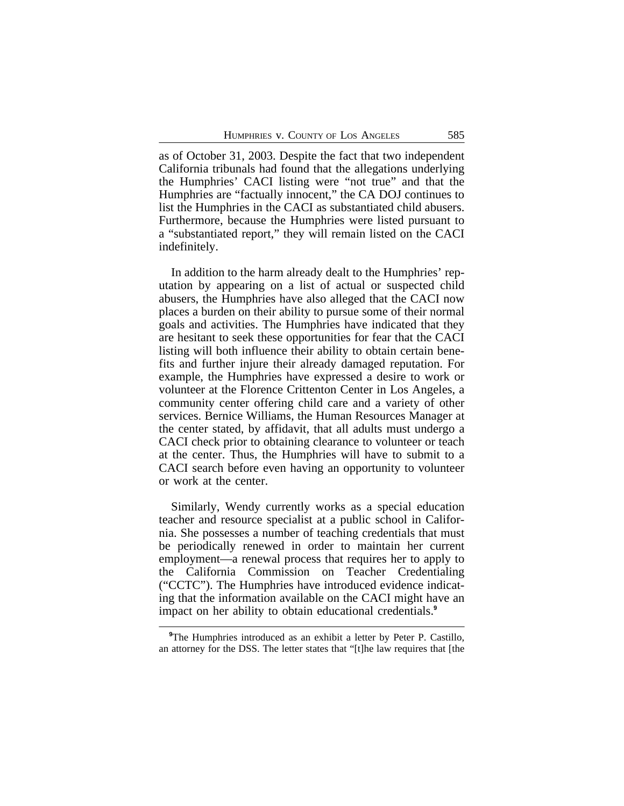as of October 31, 2003. Despite the fact that two independent California tribunals had found that the allegations underlying the Humphries' CACI listing were "not true" and that the Humphries are "factually innocent," the CA DOJ continues to list the Humphries in the CACI as substantiated child abusers. Furthermore, because the Humphries were listed pursuant to a "substantiated report," they will remain listed on the CACI indefinitely.

In addition to the harm already dealt to the Humphries' reputation by appearing on a list of actual or suspected child abusers, the Humphries have also alleged that the CACI now places a burden on their ability to pursue some of their normal goals and activities. The Humphries have indicated that they are hesitant to seek these opportunities for fear that the CACI listing will both influence their ability to obtain certain benefits and further injure their already damaged reputation. For example, the Humphries have expressed a desire to work or volunteer at the Florence Crittenton Center in Los Angeles, a community center offering child care and a variety of other services. Bernice Williams, the Human Resources Manager at the center stated, by affidavit, that all adults must undergo a CACI check prior to obtaining clearance to volunteer or teach at the center. Thus, the Humphries will have to submit to a CACI search before even having an opportunity to volunteer or work at the center.

Similarly, Wendy currently works as a special education teacher and resource specialist at a public school in California. She possesses a number of teaching credentials that must be periodically renewed in order to maintain her current employment—a renewal process that requires her to apply to the California Commission on Teacher Credentialing ("CCTC"). The Humphries have introduced evidence indicating that the information available on the CACI might have an impact on her ability to obtain educational credentials.**<sup>9</sup>**

<sup>&</sup>lt;sup>9</sup>The Humphries introduced as an exhibit a letter by Peter P. Castillo, an attorney for the DSS. The letter states that "[t]he law requires that [the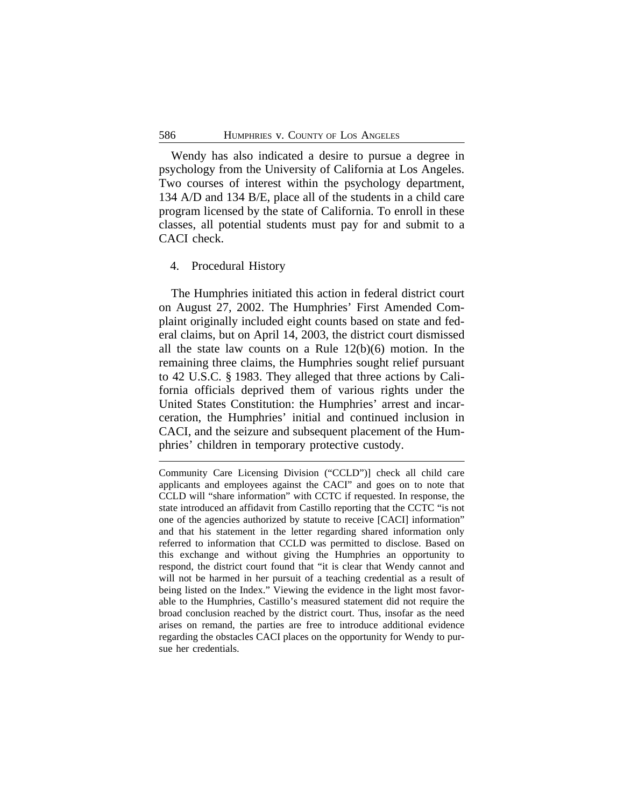Wendy has also indicated a desire to pursue a degree in psychology from the University of California at Los Angeles. Two courses of interest within the psychology department, 134 A/D and 134 B/E, place all of the students in a child care program licensed by the state of California. To enroll in these classes, all potential students must pay for and submit to a CACI check.

#### 4. Procedural History

The Humphries initiated this action in federal district court on August 27, 2002. The Humphries' First Amended Complaint originally included eight counts based on state and federal claims, but on April 14, 2003, the district court dismissed all the state law counts on a Rule 12(b)(6) motion. In the remaining three claims, the Humphries sought relief pursuant to 42 U.S.C. § 1983. They alleged that three actions by California officials deprived them of various rights under the United States Constitution: the Humphries' arrest and incarceration, the Humphries' initial and continued inclusion in CACI, and the seizure and subsequent placement of the Humphries' children in temporary protective custody.

Community Care Licensing Division ("CCLD")] check all child care applicants and employees against the CACI" and goes on to note that CCLD will "share information" with CCTC if requested. In response, the state introduced an affidavit from Castillo reporting that the CCTC "is not one of the agencies authorized by statute to receive [CACI] information" and that his statement in the letter regarding shared information only referred to information that CCLD was permitted to disclose. Based on this exchange and without giving the Humphries an opportunity to respond, the district court found that "it is clear that Wendy cannot and will not be harmed in her pursuit of a teaching credential as a result of being listed on the Index." Viewing the evidence in the light most favorable to the Humphries, Castillo's measured statement did not require the broad conclusion reached by the district court. Thus, insofar as the need arises on remand, the parties are free to introduce additional evidence regarding the obstacles CACI places on the opportunity for Wendy to pursue her credentials.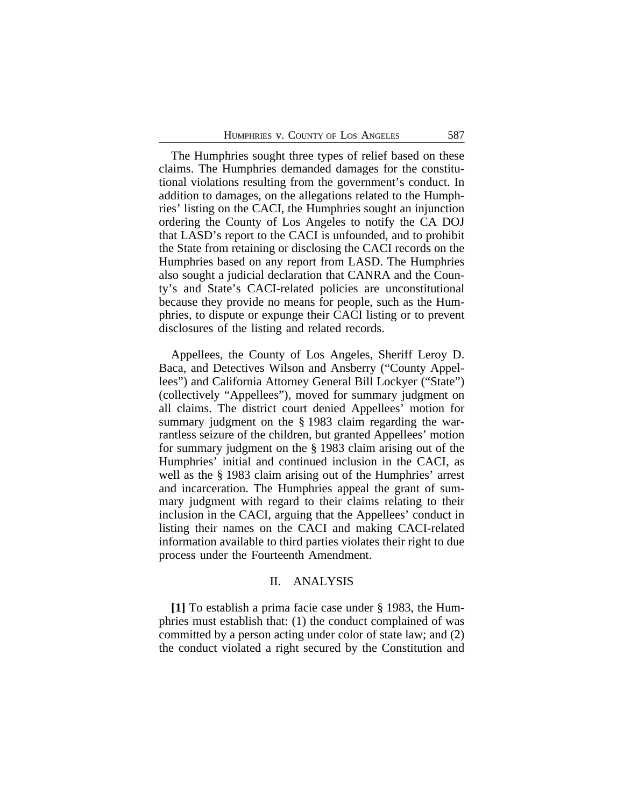The Humphries sought three types of relief based on these claims. The Humphries demanded damages for the constitutional violations resulting from the government's conduct. In addition to damages, on the allegations related to the Humphries' listing on the CACI, the Humphries sought an injunction ordering the County of Los Angeles to notify the CA DOJ that LASD's report to the CACI is unfounded, and to prohibit the State from retaining or disclosing the CACI records on the Humphries based on any report from LASD. The Humphries also sought a judicial declaration that CANRA and the County's and State's CACI-related policies are unconstitutional because they provide no means for people, such as the Humphries, to dispute or expunge their CACI listing or to prevent disclosures of the listing and related records.

Appellees, the County of Los Angeles, Sheriff Leroy D. Baca, and Detectives Wilson and Ansberry ("County Appellees") and California Attorney General Bill Lockyer ("State") (collectively "Appellees"), moved for summary judgment on all claims. The district court denied Appellees' motion for summary judgment on the § 1983 claim regarding the warrantless seizure of the children, but granted Appellees' motion for summary judgment on the § 1983 claim arising out of the Humphries' initial and continued inclusion in the CACI, as well as the § 1983 claim arising out of the Humphries' arrest and incarceration. The Humphries appeal the grant of summary judgment with regard to their claims relating to their inclusion in the CACI, arguing that the Appellees' conduct in listing their names on the CACI and making CACI-related information available to third parties violates their right to due process under the Fourteenth Amendment.

# II. ANALYSIS

**[1]** To establish a prima facie case under § 1983, the Humphries must establish that: (1) the conduct complained of was committed by a person acting under color of state law; and (2) the conduct violated a right secured by the Constitution and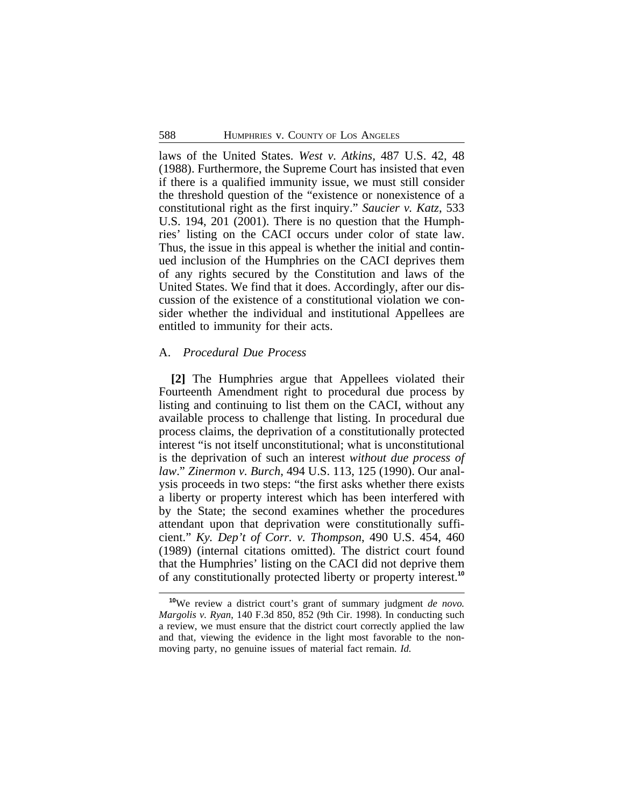laws of the United States. *West v. Atkins,* 487 U.S. 42, 48 (1988). Furthermore, the Supreme Court has insisted that even if there is a qualified immunity issue, we must still consider the threshold question of the "existence or nonexistence of a constitutional right as the first inquiry." *Saucier v. Katz*, 533 U.S. 194, 201 (2001). There is no question that the Humphries' listing on the CACI occurs under color of state law. Thus, the issue in this appeal is whether the initial and continued inclusion of the Humphries on the CACI deprives them of any rights secured by the Constitution and laws of the United States. We find that it does. Accordingly, after our discussion of the existence of a constitutional violation we consider whether the individual and institutional Appellees are entitled to immunity for their acts.

# A. *Procedural Due Process*

**[2]** The Humphries argue that Appellees violated their Fourteenth Amendment right to procedural due process by listing and continuing to list them on the CACI, without any available process to challenge that listing. In procedural due process claims, the deprivation of a constitutionally protected interest "is not itself unconstitutional; what is unconstitutional is the deprivation of such an interest *without due process of law*." *Zinermon v. Burch*, 494 U.S. 113, 125 (1990). Our analysis proceeds in two steps: "the first asks whether there exists a liberty or property interest which has been interfered with by the State; the second examines whether the procedures attendant upon that deprivation were constitutionally sufficient." *Ky. Dep't of Corr. v. Thompson*, 490 U.S. 454, 460 (1989) (internal citations omitted). The district court found that the Humphries' listing on the CACI did not deprive them of any constitutionally protected liberty or property interest.**<sup>10</sup>**

**<sup>10</sup>**We review a district court's grant of summary judgment *de novo. Margolis v. Ryan*, 140 F.3d 850, 852 (9th Cir. 1998). In conducting such a review, we must ensure that the district court correctly applied the law and that, viewing the evidence in the light most favorable to the nonmoving party, no genuine issues of material fact remain. *Id.*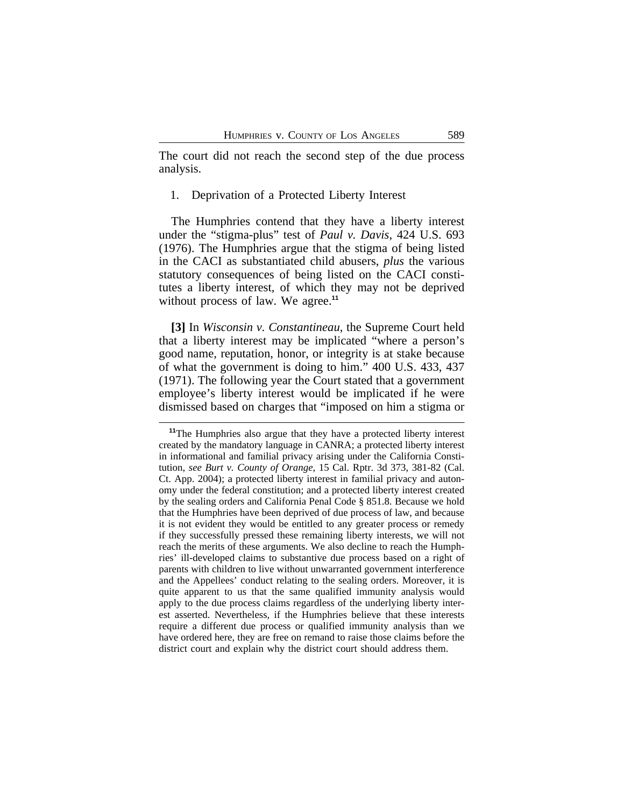The court did not reach the second step of the due process analysis.

#### 1. Deprivation of a Protected Liberty Interest

The Humphries contend that they have a liberty interest under the "stigma-plus" test of *Paul v. Davis*, 424 U.S. 693 (1976). The Humphries argue that the stigma of being listed in the CACI as substantiated child abusers, *plus* the various statutory consequences of being listed on the CACI constitutes a liberty interest, of which they may not be deprived without process of law. We agree.<sup>11</sup>

**[3]** In *Wisconsin v. Constantineau,* the Supreme Court held that a liberty interest may be implicated "where a person's good name, reputation, honor, or integrity is at stake because of what the government is doing to him." 400 U.S. 433, 437 (1971). The following year the Court stated that a government employee's liberty interest would be implicated if he were dismissed based on charges that "imposed on him a stigma or

**<sup>11</sup>**The Humphries also argue that they have a protected liberty interest created by the mandatory language in CANRA; a protected liberty interest in informational and familial privacy arising under the California Constitution, *see Burt v. County of Orange*, 15 Cal. Rptr. 3d 373, 381-82 (Cal. Ct. App. 2004); a protected liberty interest in familial privacy and autonomy under the federal constitution; and a protected liberty interest created by the sealing orders and California Penal Code § 851.8. Because we hold that the Humphries have been deprived of due process of law, and because it is not evident they would be entitled to any greater process or remedy if they successfully pressed these remaining liberty interests, we will not reach the merits of these arguments. We also decline to reach the Humphries' ill-developed claims to substantive due process based on a right of parents with children to live without unwarranted government interference and the Appellees' conduct relating to the sealing orders. Moreover, it is quite apparent to us that the same qualified immunity analysis would apply to the due process claims regardless of the underlying liberty interest asserted. Nevertheless, if the Humphries believe that these interests require a different due process or qualified immunity analysis than we have ordered here, they are free on remand to raise those claims before the district court and explain why the district court should address them.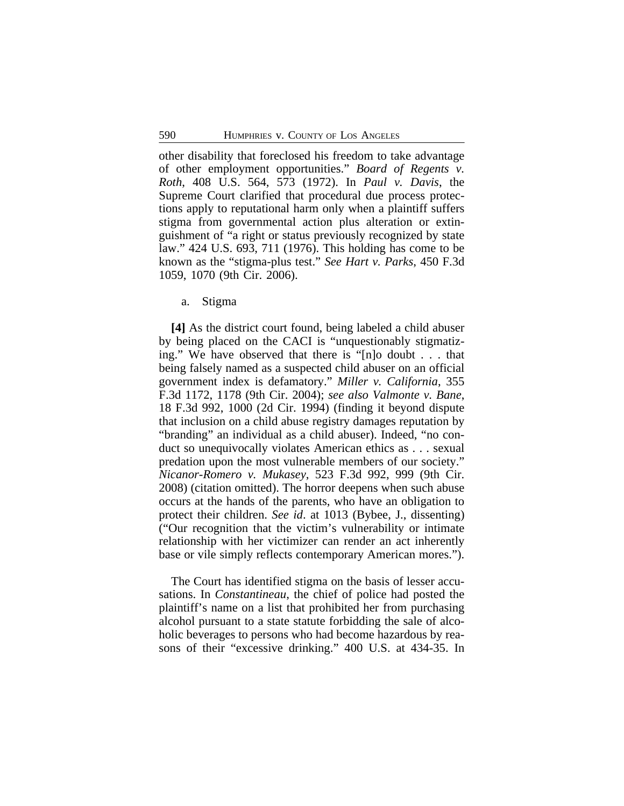other disability that foreclosed his freedom to take advantage of other employment opportunities." *Board of Regents v. Roth*, 408 U.S. 564, 573 (1972). In *Paul v. Davis*, the Supreme Court clarified that procedural due process protections apply to reputational harm only when a plaintiff suffers stigma from governmental action plus alteration or extinguishment of "a right or status previously recognized by state law." 424 U.S. 693, 711 (1976). This holding has come to be known as the "stigma-plus test." *See Hart v. Parks*, 450 F.3d 1059, 1070 (9th Cir. 2006).

a. Stigma

**[4]** As the district court found, being labeled a child abuser by being placed on the CACI is "unquestionably stigmatizing." We have observed that there is "[n]o doubt . . . that being falsely named as a suspected child abuser on an official government index is defamatory." *Miller v. California*, 355 F.3d 1172, 1178 (9th Cir. 2004); *see also Valmonte v. Bane*, 18 F.3d 992, 1000 (2d Cir. 1994) (finding it beyond dispute that inclusion on a child abuse registry damages reputation by "branding" an individual as a child abuser). Indeed, "no conduct so unequivocally violates American ethics as . . . sexual predation upon the most vulnerable members of our society." *Nicanor-Romero v. Mukasey*, 523 F.3d 992, 999 (9th Cir. 2008) (citation omitted). The horror deepens when such abuse occurs at the hands of the parents, who have an obligation to protect their children. *See id*. at 1013 (Bybee, J., dissenting) ("Our recognition that the victim's vulnerability or intimate relationship with her victimizer can render an act inherently base or vile simply reflects contemporary American mores.").

The Court has identified stigma on the basis of lesser accusations. In *Constantineau*, the chief of police had posted the plaintiff's name on a list that prohibited her from purchasing alcohol pursuant to a state statute forbidding the sale of alcoholic beverages to persons who had become hazardous by reasons of their "excessive drinking." 400 U.S. at 434-35. In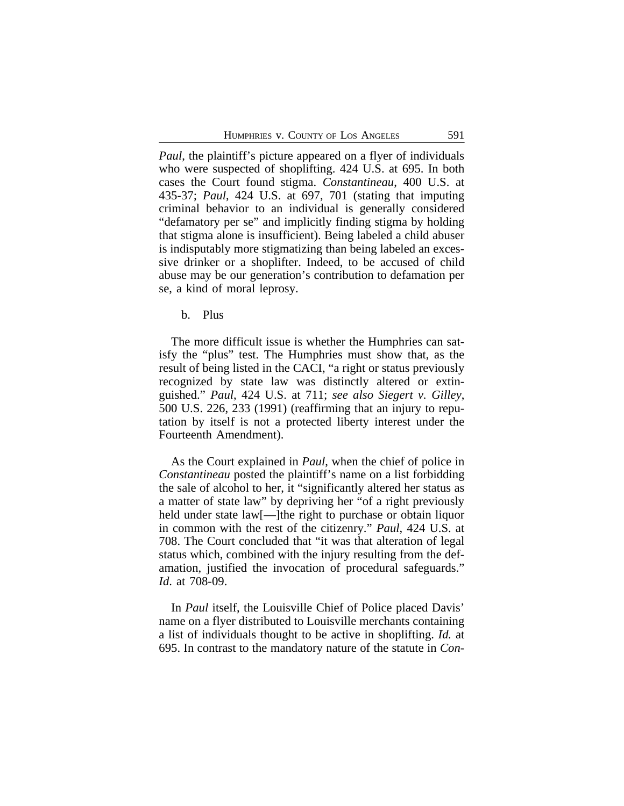*Paul*, the plaintiff's picture appeared on a flyer of individuals who were suspected of shoplifting. 424 U.S. at 695. In both cases the Court found stigma. *Constantineau*, 400 U.S. at 435-37; *Paul*, 424 U.S. at 697, 701 (stating that imputing criminal behavior to an individual is generally considered "defamatory per se" and implicitly finding stigma by holding that stigma alone is insufficient). Being labeled a child abuser is indisputably more stigmatizing than being labeled an excessive drinker or a shoplifter. Indeed, to be accused of child abuse may be our generation's contribution to defamation per se, a kind of moral leprosy.

b. Plus

The more difficult issue is whether the Humphries can satisfy the "plus" test. The Humphries must show that, as the result of being listed in the CACI, "a right or status previously recognized by state law was distinctly altered or extinguished." *Paul*, 424 U.S. at 711; *see also Siegert v. Gilley*, 500 U.S. 226, 233 (1991) (reaffirming that an injury to reputation by itself is not a protected liberty interest under the Fourteenth Amendment).

As the Court explained in *Paul*, when the chief of police in *Constantineau* posted the plaintiff's name on a list forbidding the sale of alcohol to her, it "significantly altered her status as a matter of state law" by depriving her "of a right previously held under state law<sup>[---</sup>]the right to purchase or obtain liquor in common with the rest of the citizenry." *Paul*, 424 U.S. at 708. The Court concluded that "it was that alteration of legal status which, combined with the injury resulting from the defamation, justified the invocation of procedural safeguards." *Id*. at 708-09.

In *Paul* itself, the Louisville Chief of Police placed Davis' name on a flyer distributed to Louisville merchants containing a list of individuals thought to be active in shoplifting. *Id.* at 695. In contrast to the mandatory nature of the statute in *Con-*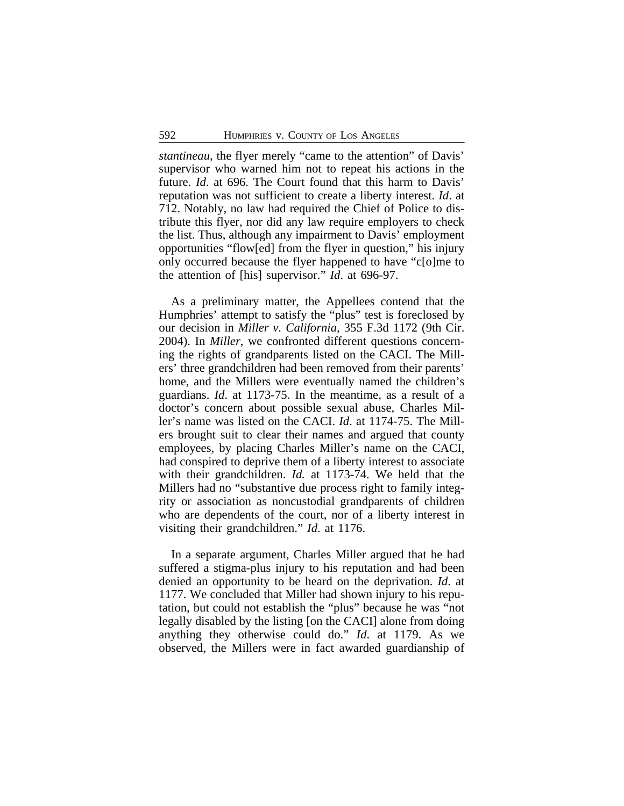*stantineau*, the flyer merely "came to the attention" of Davis' supervisor who warned him not to repeat his actions in the future. *Id*. at 696. The Court found that this harm to Davis' reputation was not sufficient to create a liberty interest. *Id*. at 712. Notably, no law had required the Chief of Police to distribute this flyer, nor did any law require employers to check the list. Thus, although any impairment to Davis' employment opportunities "flow[ed] from the flyer in question," his injury only occurred because the flyer happened to have "c[o]me to the attention of [his] supervisor." *Id*. at 696-97.

As a preliminary matter, the Appellees contend that the Humphries' attempt to satisfy the "plus" test is foreclosed by our decision in *Miller v. California,* 355 F.3d 1172 (9th Cir. 2004). In *Miller*, we confronted different questions concerning the rights of grandparents listed on the CACI. The Millers' three grandchildren had been removed from their parents' home, and the Millers were eventually named the children's guardians. *Id*. at 1173-75. In the meantime, as a result of a doctor's concern about possible sexual abuse, Charles Miller's name was listed on the CACI. *Id*. at 1174-75. The Millers brought suit to clear their names and argued that county employees, by placing Charles Miller's name on the CACI, had conspired to deprive them of a liberty interest to associate with their grandchildren. *Id.* at 1173-74. We held that the Millers had no "substantive due process right to family integrity or association as noncustodial grandparents of children who are dependents of the court, nor of a liberty interest in visiting their grandchildren." *Id*. at 1176.

In a separate argument, Charles Miller argued that he had suffered a stigma-plus injury to his reputation and had been denied an opportunity to be heard on the deprivation. *Id*. at 1177. We concluded that Miller had shown injury to his reputation, but could not establish the "plus" because he was "not legally disabled by the listing [on the CACI] alone from doing anything they otherwise could do." *Id*. at 1179. As we observed, the Millers were in fact awarded guardianship of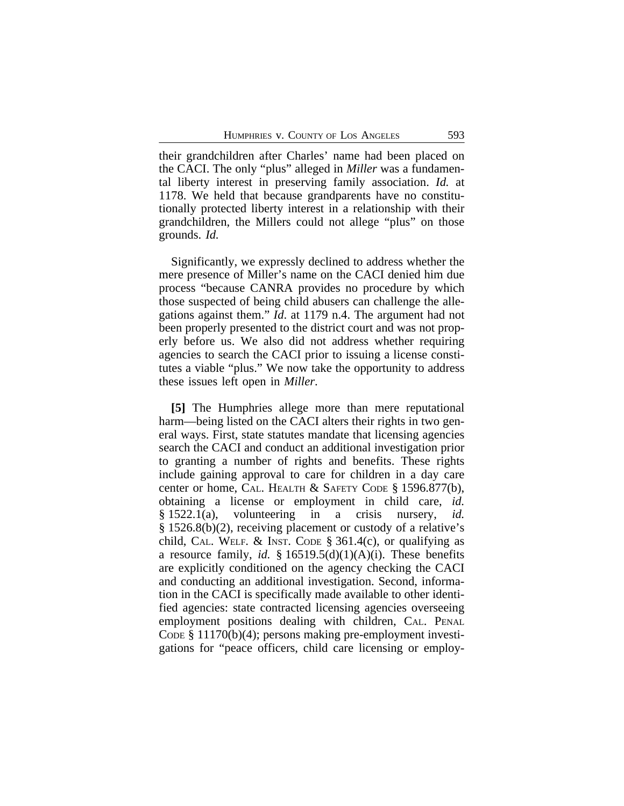their grandchildren after Charles' name had been placed on the CACI. The only "plus" alleged in *Miller* was a fundamental liberty interest in preserving family association. *Id.* at 1178. We held that because grandparents have no constitutionally protected liberty interest in a relationship with their grandchildren, the Millers could not allege "plus" on those grounds. *Id.* 

Significantly, we expressly declined to address whether the mere presence of Miller's name on the CACI denied him due process "because CANRA provides no procedure by which those suspected of being child abusers can challenge the allegations against them." *Id*. at 1179 n.4. The argument had not been properly presented to the district court and was not properly before us. We also did not address whether requiring agencies to search the CACI prior to issuing a license constitutes a viable "plus." We now take the opportunity to address these issues left open in *Miller*.

**[5]** The Humphries allege more than mere reputational harm—being listed on the CACI alters their rights in two general ways. First, state statutes mandate that licensing agencies search the CACI and conduct an additional investigation prior to granting a number of rights and benefits. These rights include gaining approval to care for children in a day care center or home, CAL. HEALTH & SAFETY CODE § 1596.877(b), obtaining a license or employment in child care, *id.* § 1522.1(a), volunteering in a crisis nursery, *id.* § 1526.8(b)(2), receiving placement or custody of a relative's child, CAL. WELF. & INST. CODE  $\S$  361.4(c), or qualifying as a resource family, *id.* §  $16519.5(d)(1)(A)(i)$ . These benefits are explicitly conditioned on the agency checking the CACI and conducting an additional investigation. Second, information in the CACI is specifically made available to other identified agencies: state contracted licensing agencies overseeing employment positions dealing with children, CAL. PENAL CODE § 11170(b)(4); persons making pre-employment investigations for "peace officers, child care licensing or employ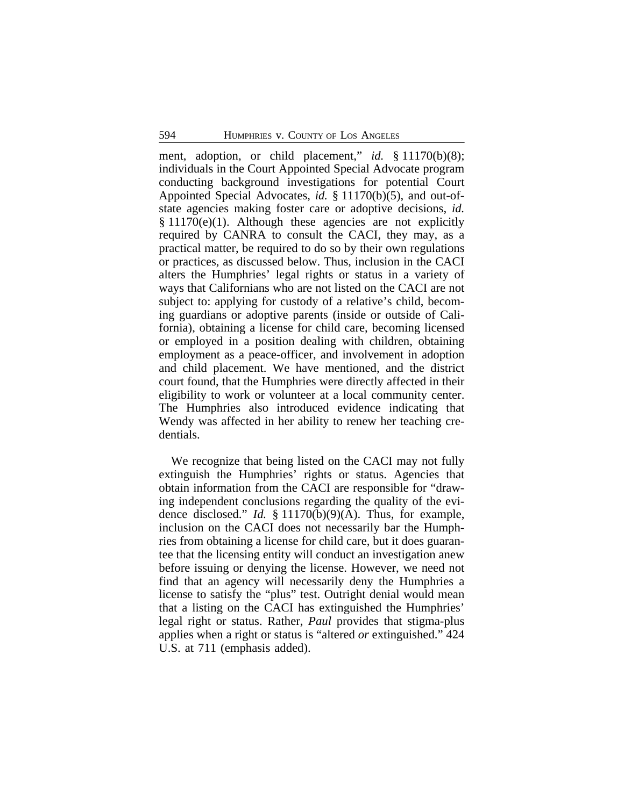ment, adoption, or child placement," *id.* § 11170(b)(8); individuals in the Court Appointed Special Advocate program conducting background investigations for potential Court Appointed Special Advocates, *id.* § 11170(b)(5), and out-ofstate agencies making foster care or adoptive decisions, *id.*  $§ 11170(e)(1)$ . Although these agencies are not explicitly required by CANRA to consult the CACI, they may, as a practical matter, be required to do so by their own regulations or practices, as discussed below. Thus, inclusion in the CACI alters the Humphries' legal rights or status in a variety of ways that Californians who are not listed on the CACI are not subject to: applying for custody of a relative's child, becoming guardians or adoptive parents (inside or outside of California), obtaining a license for child care, becoming licensed or employed in a position dealing with children, obtaining employment as a peace-officer, and involvement in adoption and child placement. We have mentioned, and the district court found, that the Humphries were directly affected in their eligibility to work or volunteer at a local community center. The Humphries also introduced evidence indicating that Wendy was affected in her ability to renew her teaching credentials.

We recognize that being listed on the CACI may not fully extinguish the Humphries' rights or status. Agencies that obtain information from the CACI are responsible for "drawing independent conclusions regarding the quality of the evidence disclosed." *Id.* § 11170(b)(9)(A). Thus, for example, inclusion on the CACI does not necessarily bar the Humphries from obtaining a license for child care, but it does guarantee that the licensing entity will conduct an investigation anew before issuing or denying the license. However, we need not find that an agency will necessarily deny the Humphries a license to satisfy the "plus" test. Outright denial would mean that a listing on the CACI has extinguished the Humphries' legal right or status. Rather, *Paul* provides that stigma-plus applies when a right or status is "altered *or* extinguished." 424 U.S. at 711 (emphasis added).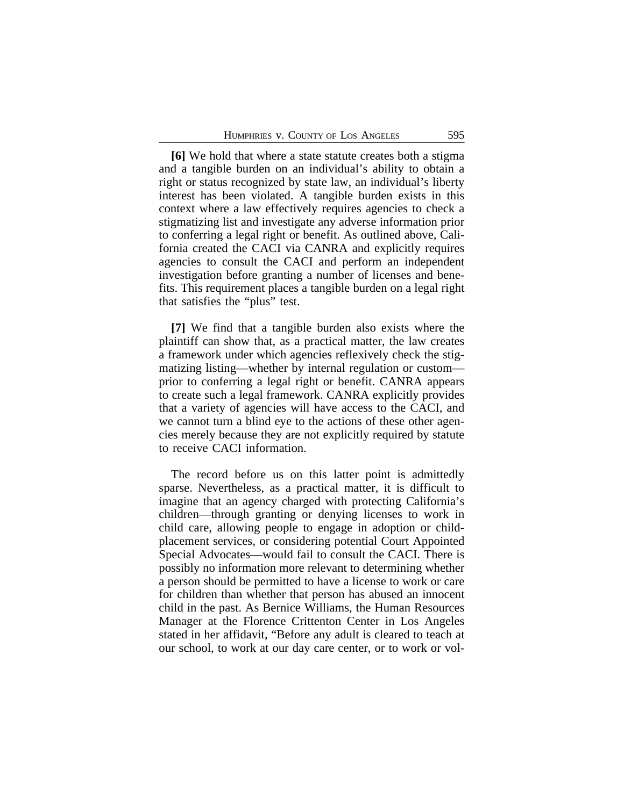**[6]** We hold that where a state statute creates both a stigma and a tangible burden on an individual's ability to obtain a right or status recognized by state law, an individual's liberty interest has been violated. A tangible burden exists in this context where a law effectively requires agencies to check a stigmatizing list and investigate any adverse information prior to conferring a legal right or benefit. As outlined above, California created the CACI via CANRA and explicitly requires agencies to consult the CACI and perform an independent investigation before granting a number of licenses and benefits. This requirement places a tangible burden on a legal right that satisfies the "plus" test.

**[7]** We find that a tangible burden also exists where the plaintiff can show that, as a practical matter, the law creates a framework under which agencies reflexively check the stigmatizing listing—whether by internal regulation or custom prior to conferring a legal right or benefit. CANRA appears to create such a legal framework. CANRA explicitly provides that a variety of agencies will have access to the CACI, and we cannot turn a blind eye to the actions of these other agencies merely because they are not explicitly required by statute to receive CACI information.

The record before us on this latter point is admittedly sparse. Nevertheless, as a practical matter, it is difficult to imagine that an agency charged with protecting California's children—through granting or denying licenses to work in child care, allowing people to engage in adoption or childplacement services, or considering potential Court Appointed Special Advocates—would fail to consult the CACI. There is possibly no information more relevant to determining whether a person should be permitted to have a license to work or care for children than whether that person has abused an innocent child in the past. As Bernice Williams, the Human Resources Manager at the Florence Crittenton Center in Los Angeles stated in her affidavit, "Before any adult is cleared to teach at our school, to work at our day care center, or to work or vol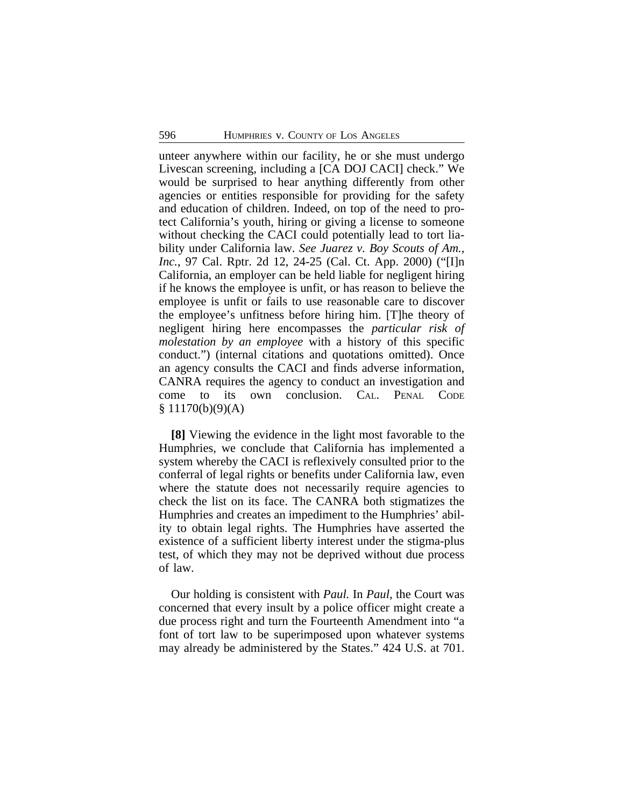unteer anywhere within our facility, he or she must undergo Livescan screening, including a [CA DOJ CACI] check." We would be surprised to hear anything differently from other agencies or entities responsible for providing for the safety and education of children. Indeed, on top of the need to protect California's youth, hiring or giving a license to someone without checking the CACI could potentially lead to tort liability under California law. *See Juarez v. Boy Scouts of Am., Inc.*, 97 Cal. Rptr. 2d 12, 24-25 (Cal. Ct. App. 2000) ("[I]n California, an employer can be held liable for negligent hiring if he knows the employee is unfit, or has reason to believe the employee is unfit or fails to use reasonable care to discover the employee's unfitness before hiring him. [T]he theory of negligent hiring here encompasses the *particular risk of molestation by an employee* with a history of this specific conduct.") (internal citations and quotations omitted). Once an agency consults the CACI and finds adverse information, CANRA requires the agency to conduct an investigation and come to its own conclusion. CAL. PENAL CODE  $§ 11170(b)(9)(A)$ 

**[8]** Viewing the evidence in the light most favorable to the Humphries, we conclude that California has implemented a system whereby the CACI is reflexively consulted prior to the conferral of legal rights or benefits under California law, even where the statute does not necessarily require agencies to check the list on its face. The CANRA both stigmatizes the Humphries and creates an impediment to the Humphries' ability to obtain legal rights. The Humphries have asserted the existence of a sufficient liberty interest under the stigma-plus test, of which they may not be deprived without due process of law.

Our holding is consistent with *Paul.* In *Paul*, the Court was concerned that every insult by a police officer might create a due process right and turn the Fourteenth Amendment into "a font of tort law to be superimposed upon whatever systems may already be administered by the States." 424 U.S. at 701.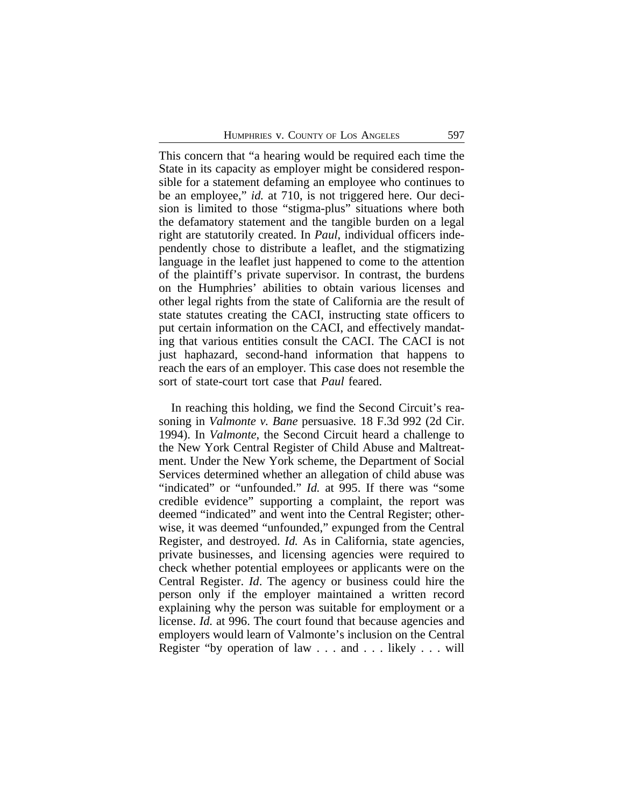This concern that "a hearing would be required each time the State in its capacity as employer might be considered responsible for a statement defaming an employee who continues to be an employee," *id.* at 710, is not triggered here. Our decision is limited to those "stigma-plus" situations where both the defamatory statement and the tangible burden on a legal right are statutorily created. In *Paul*, individual officers independently chose to distribute a leaflet, and the stigmatizing language in the leaflet just happened to come to the attention of the plaintiff's private supervisor. In contrast, the burdens on the Humphries' abilities to obtain various licenses and other legal rights from the state of California are the result of state statutes creating the CACI, instructing state officers to put certain information on the CACI, and effectively mandating that various entities consult the CACI. The CACI is not just haphazard, second-hand information that happens to reach the ears of an employer. This case does not resemble the sort of state-court tort case that *Paul* feared.

In reaching this holding, we find the Second Circuit's reasoning in *Valmonte v. Bane* persuasive*.* 18 F.3d 992 (2d Cir. 1994). In *Valmonte*, the Second Circuit heard a challenge to the New York Central Register of Child Abuse and Maltreatment. Under the New York scheme, the Department of Social Services determined whether an allegation of child abuse was "indicated" or "unfounded." *Id.* at 995. If there was "some credible evidence" supporting a complaint, the report was deemed "indicated" and went into the Central Register; otherwise, it was deemed "unfounded," expunged from the Central Register, and destroyed. *Id.* As in California, state agencies, private businesses, and licensing agencies were required to check whether potential employees or applicants were on the Central Register. *Id*. The agency or business could hire the person only if the employer maintained a written record explaining why the person was suitable for employment or a license. *Id.* at 996. The court found that because agencies and employers would learn of Valmonte's inclusion on the Central Register "by operation of law . . . and . . . likely . . . will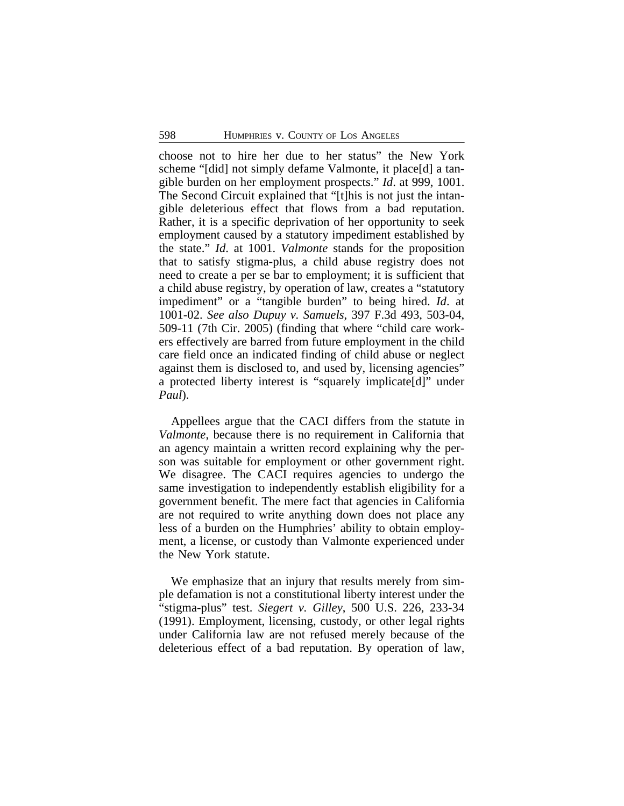choose not to hire her due to her status" the New York scheme "[did] not simply defame Valmonte, it place[d] a tangible burden on her employment prospects." *Id*. at 999, 1001. The Second Circuit explained that "[t]his is not just the intangible deleterious effect that flows from a bad reputation. Rather, it is a specific deprivation of her opportunity to seek employment caused by a statutory impediment established by the state." *Id*. at 1001. *Valmonte* stands for the proposition that to satisfy stigma-plus, a child abuse registry does not need to create a per se bar to employment; it is sufficient that a child abuse registry, by operation of law, creates a "statutory impediment" or a "tangible burden" to being hired. *Id*. at 1001-02. *See also Dupuy v. Samuels*, 397 F.3d 493, 503-04, 509-11 (7th Cir. 2005) (finding that where "child care workers effectively are barred from future employment in the child care field once an indicated finding of child abuse or neglect against them is disclosed to, and used by, licensing agencies" a protected liberty interest is "squarely implicate[d]" under *Paul*).

Appellees argue that the CACI differs from the statute in *Valmonte*, because there is no requirement in California that an agency maintain a written record explaining why the person was suitable for employment or other government right. We disagree. The CACI requires agencies to undergo the same investigation to independently establish eligibility for a government benefit. The mere fact that agencies in California are not required to write anything down does not place any less of a burden on the Humphries' ability to obtain employment, a license, or custody than Valmonte experienced under the New York statute.

We emphasize that an injury that results merely from simple defamation is not a constitutional liberty interest under the "stigma-plus" test. *Siegert v. Gilley*, 500 U.S. 226, 233-34 (1991). Employment, licensing, custody, or other legal rights under California law are not refused merely because of the deleterious effect of a bad reputation. By operation of law,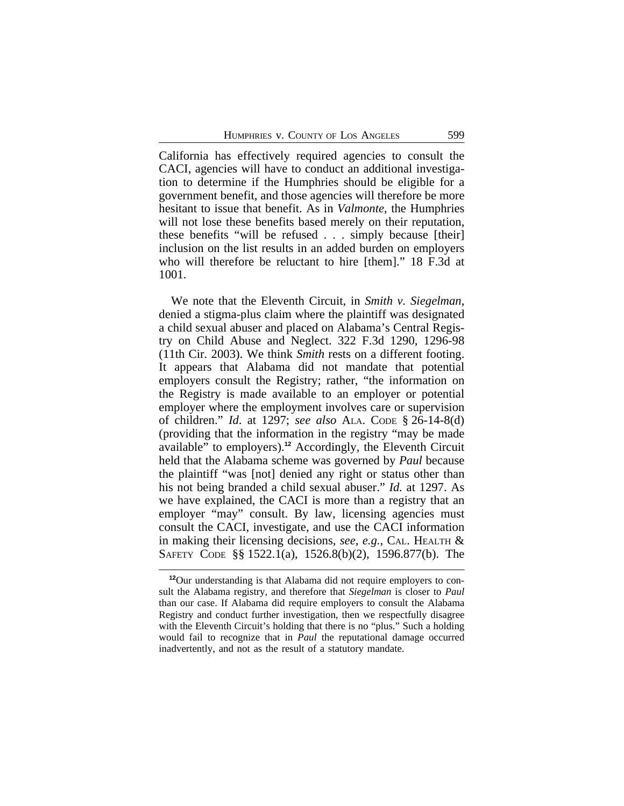California has effectively required agencies to consult the CACI, agencies will have to conduct an additional investigation to determine if the Humphries should be eligible for a government benefit, and those agencies will therefore be more hesitant to issue that benefit. As in *Valmonte*, the Humphries will not lose these benefits based merely on their reputation, these benefits "will be refused . . . simply because [their] inclusion on the list results in an added burden on employers who will therefore be reluctant to hire [them]." 18 F.3d at 1001.

We note that the Eleventh Circuit, in *Smith v. Siegelman*, denied a stigma-plus claim where the plaintiff was designated a child sexual abuser and placed on Alabama's Central Registry on Child Abuse and Neglect. 322 F.3d 1290, 1296-98 (11th Cir. 2003). We think *Smith* rests on a different footing. It appears that Alabama did not mandate that potential employers consult the Registry; rather, "the information on the Registry is made available to an employer or potential employer where the employment involves care or supervision of children." *Id*. at 1297; *see also* ALA. CODE § 26-14-8(d) (providing that the information in the registry "may be made available" to employers).**<sup>12</sup>** Accordingly, the Eleventh Circuit held that the Alabama scheme was governed by *Paul* because the plaintiff "was [not] denied any right or status other than his not being branded a child sexual abuser." *Id.* at 1297. As we have explained, the CACI is more than a registry that an employer "may" consult. By law, licensing agencies must consult the CACI, investigate, and use the CACI information in making their licensing decisions, *see, e.g.*, CAL. HEALTH & SAFETY CODE §§ 1522.1(a), 1526.8(b)(2), 1596.877(b). The

**<sup>12</sup>**Our understanding is that Alabama did not require employers to consult the Alabama registry, and therefore that *Siegelman* is closer to *Paul* than our case. If Alabama did require employers to consult the Alabama Registry and conduct further investigation, then we respectfully disagree with the Eleventh Circuit's holding that there is no "plus." Such a holding would fail to recognize that in *Paul* the reputational damage occurred inadvertently, and not as the result of a statutory mandate.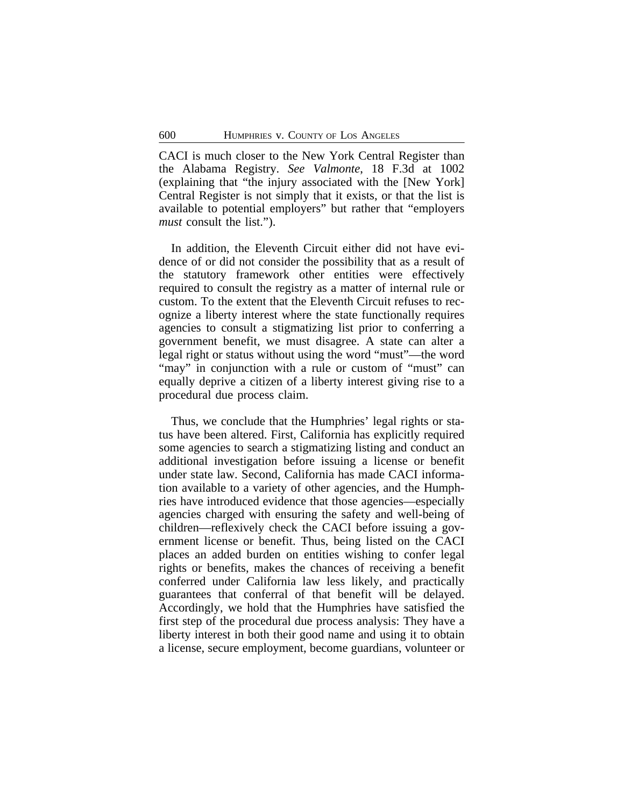CACI is much closer to the New York Central Register than the Alabama Registry. *See Valmonte*, 18 F.3d at 1002 (explaining that "the injury associated with the [New York] Central Register is not simply that it exists, or that the list is available to potential employers" but rather that "employers *must* consult the list.").

In addition, the Eleventh Circuit either did not have evidence of or did not consider the possibility that as a result of the statutory framework other entities were effectively required to consult the registry as a matter of internal rule or custom. To the extent that the Eleventh Circuit refuses to recognize a liberty interest where the state functionally requires agencies to consult a stigmatizing list prior to conferring a government benefit, we must disagree. A state can alter a legal right or status without using the word "must"—the word "may" in conjunction with a rule or custom of "must" can equally deprive a citizen of a liberty interest giving rise to a procedural due process claim.

Thus, we conclude that the Humphries' legal rights or status have been altered. First, California has explicitly required some agencies to search a stigmatizing listing and conduct an additional investigation before issuing a license or benefit under state law. Second, California has made CACI information available to a variety of other agencies, and the Humphries have introduced evidence that those agencies—especially agencies charged with ensuring the safety and well-being of children—reflexively check the CACI before issuing a government license or benefit. Thus, being listed on the CACI places an added burden on entities wishing to confer legal rights or benefits, makes the chances of receiving a benefit conferred under California law less likely, and practically guarantees that conferral of that benefit will be delayed. Accordingly, we hold that the Humphries have satisfied the first step of the procedural due process analysis: They have a liberty interest in both their good name and using it to obtain a license, secure employment, become guardians, volunteer or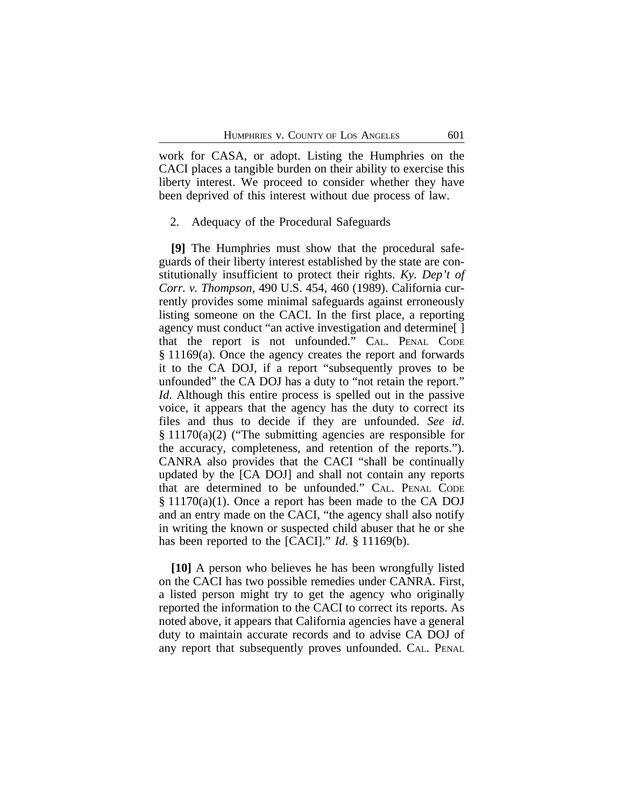work for CASA, or adopt. Listing the Humphries on the CACI places a tangible burden on their ability to exercise this liberty interest. We proceed to consider whether they have been deprived of this interest without due process of law.

#### 2. Adequacy of the Procedural Safeguards

**[9]** The Humphries must show that the procedural safeguards of their liberty interest established by the state are constitutionally insufficient to protect their rights. *Ky. Dep't of Corr. v. Thompson*, 490 U.S. 454, 460 (1989). California currently provides some minimal safeguards against erroneously listing someone on the CACI. In the first place, a reporting agency must conduct "an active investigation and determine[ ] that the report is not unfounded." CAL. PENAL CODE § 11169(a). Once the agency creates the report and forwards it to the CA DOJ, if a report "subsequently proves to be unfounded" the CA DOJ has a duty to "not retain the report." *Id*. Although this entire process is spelled out in the passive voice, it appears that the agency has the duty to correct its files and thus to decide if they are unfounded. *See id*. § 11170(a)(2) ("The submitting agencies are responsible for the accuracy, completeness, and retention of the reports."). CANRA also provides that the CACI "shall be continually updated by the [CA DOJ] and shall not contain any reports that are determined to be unfounded." CAL. PENAL CODE § 11170(a)(1). Once a report has been made to the CA DOJ and an entry made on the CACI, "the agency shall also notify in writing the known or suspected child abuser that he or she has been reported to the [CACI]." *Id*. § 11169(b).

**[10]** A person who believes he has been wrongfully listed on the CACI has two possible remedies under CANRA. First, a listed person might try to get the agency who originally reported the information to the CACI to correct its reports. As noted above, it appears that California agencies have a general duty to maintain accurate records and to advise CA DOJ of any report that subsequently proves unfounded. CAL. PENAL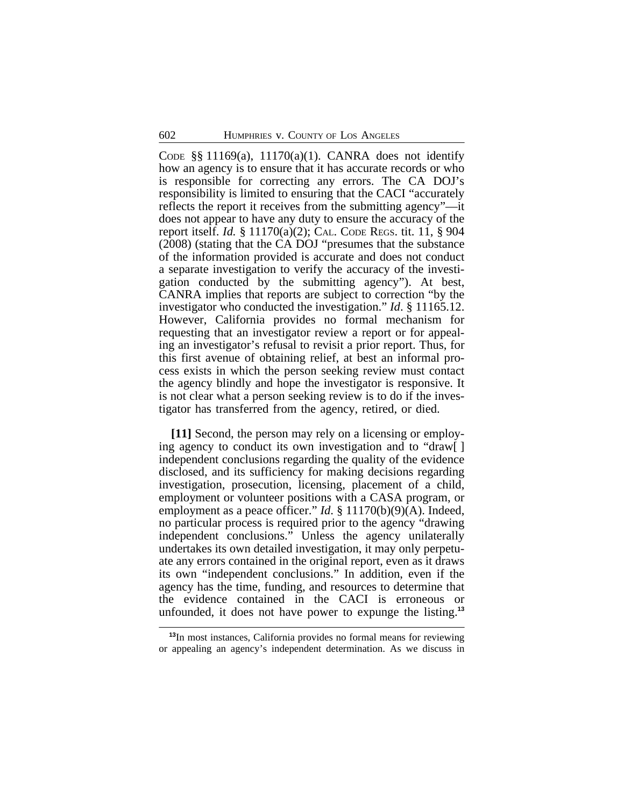CODE §§ 11169(a), 11170(a)(1). CANRA does not identify how an agency is to ensure that it has accurate records or who is responsible for correcting any errors. The CA DOJ's responsibility is limited to ensuring that the CACI "accurately reflects the report it receives from the submitting agency"—it does not appear to have any duty to ensure the accuracy of the report itself. *Id.* § 11170(a)(2); CAL. CODE REGS. tit. 11, § 904 (2008) (stating that the CA DOJ "presumes that the substance of the information provided is accurate and does not conduct a separate investigation to verify the accuracy of the investigation conducted by the submitting agency"). At best, CANRA implies that reports are subject to correction "by the investigator who conducted the investigation." *Id*. § 11165.12. However, California provides no formal mechanism for requesting that an investigator review a report or for appealing an investigator's refusal to revisit a prior report. Thus, for this first avenue of obtaining relief, at best an informal process exists in which the person seeking review must contact the agency blindly and hope the investigator is responsive. It is not clear what a person seeking review is to do if the investigator has transferred from the agency, retired, or died.

**[11]** Second, the person may rely on a licensing or employing agency to conduct its own investigation and to "draw[ ] independent conclusions regarding the quality of the evidence disclosed, and its sufficiency for making decisions regarding investigation, prosecution, licensing, placement of a child, employment or volunteer positions with a CASA program, or employment as a peace officer." *Id.* § 11170(b)(9)(A). Indeed, no particular process is required prior to the agency "drawing independent conclusions." Unless the agency unilaterally undertakes its own detailed investigation, it may only perpetuate any errors contained in the original report, even as it draws its own "independent conclusions." In addition, even if the agency has the time, funding, and resources to determine that the evidence contained in the CACI is erroneous or unfounded, it does not have power to expunge the listing.**<sup>13</sup>**

**<sup>13</sup>**In most instances, California provides no formal means for reviewing or appealing an agency's independent determination. As we discuss in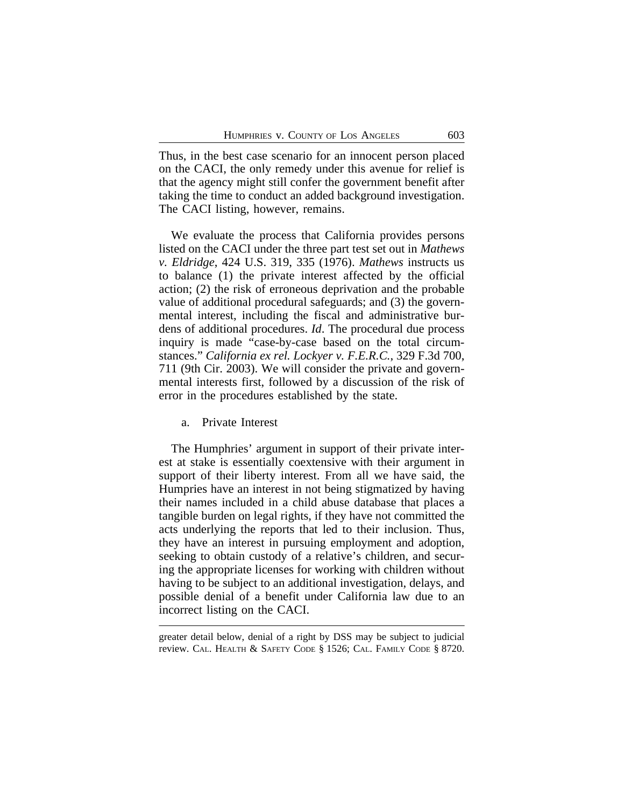Thus, in the best case scenario for an innocent person placed on the CACI, the only remedy under this avenue for relief is that the agency might still confer the government benefit after taking the time to conduct an added background investigation. The CACI listing, however, remains.

We evaluate the process that California provides persons listed on the CACI under the three part test set out in *Mathews v. Eldridge*, 424 U.S. 319, 335 (1976). *Mathews* instructs us to balance (1) the private interest affected by the official action; (2) the risk of erroneous deprivation and the probable value of additional procedural safeguards; and (3) the governmental interest, including the fiscal and administrative burdens of additional procedures. *Id*. The procedural due process inquiry is made "case-by-case based on the total circumstances." *California ex rel. Lockyer v. F.E.R.C.*, 329 F.3d 700, 711 (9th Cir. 2003). We will consider the private and governmental interests first, followed by a discussion of the risk of error in the procedures established by the state.

#### a. Private Interest

The Humphries' argument in support of their private interest at stake is essentially coextensive with their argument in support of their liberty interest. From all we have said, the Humpries have an interest in not being stigmatized by having their names included in a child abuse database that places a tangible burden on legal rights, if they have not committed the acts underlying the reports that led to their inclusion. Thus, they have an interest in pursuing employment and adoption, seeking to obtain custody of a relative's children, and securing the appropriate licenses for working with children without having to be subject to an additional investigation, delays, and possible denial of a benefit under California law due to an incorrect listing on the CACI.

greater detail below, denial of a right by DSS may be subject to judicial review. CAL. HEALTH & SAFETY CODE § 1526; CAL. FAMILY CODE § 8720.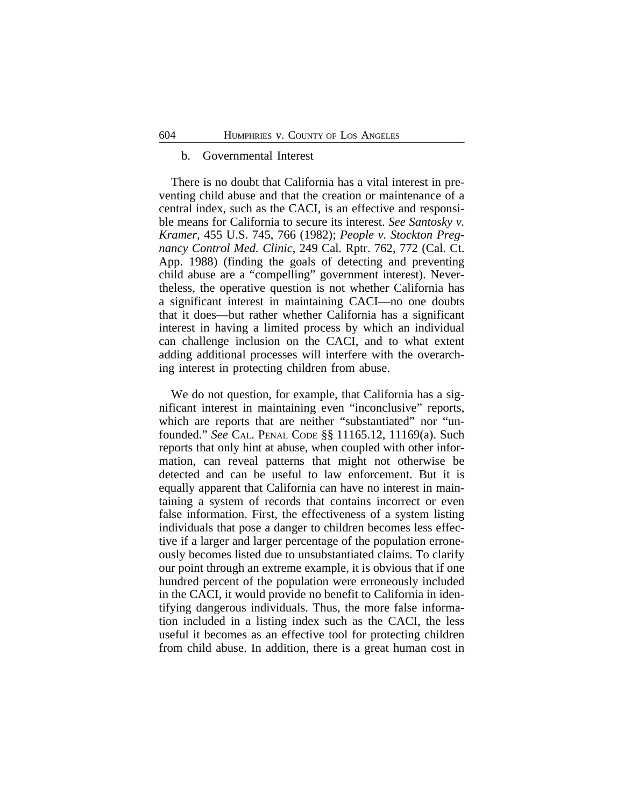#### b. Governmental Interest

There is no doubt that California has a vital interest in preventing child abuse and that the creation or maintenance of a central index, such as the CACI, is an effective and responsible means for California to secure its interest. *See Santosky v. Kramer*, 455 U.S. 745, 766 (1982); *People v. Stockton Pregnancy Control Med. Clinic*, 249 Cal. Rptr. 762, 772 (Cal. Ct. App. 1988) (finding the goals of detecting and preventing child abuse are a "compelling" government interest). Nevertheless, the operative question is not whether California has a significant interest in maintaining CACI—no one doubts that it does—but rather whether California has a significant interest in having a limited process by which an individual can challenge inclusion on the CACI, and to what extent adding additional processes will interfere with the overarching interest in protecting children from abuse.

We do not question, for example, that California has a significant interest in maintaining even "inconclusive" reports, which are reports that are neither "substantiated" nor "unfounded." *See* CAL. PENAL CODE §§ 11165.12, 11169(a). Such reports that only hint at abuse, when coupled with other information, can reveal patterns that might not otherwise be detected and can be useful to law enforcement. But it is equally apparent that California can have no interest in maintaining a system of records that contains incorrect or even false information. First, the effectiveness of a system listing individuals that pose a danger to children becomes less effective if a larger and larger percentage of the population erroneously becomes listed due to unsubstantiated claims. To clarify our point through an extreme example, it is obvious that if one hundred percent of the population were erroneously included in the CACI, it would provide no benefit to California in identifying dangerous individuals. Thus, the more false information included in a listing index such as the CACI, the less useful it becomes as an effective tool for protecting children from child abuse. In addition, there is a great human cost in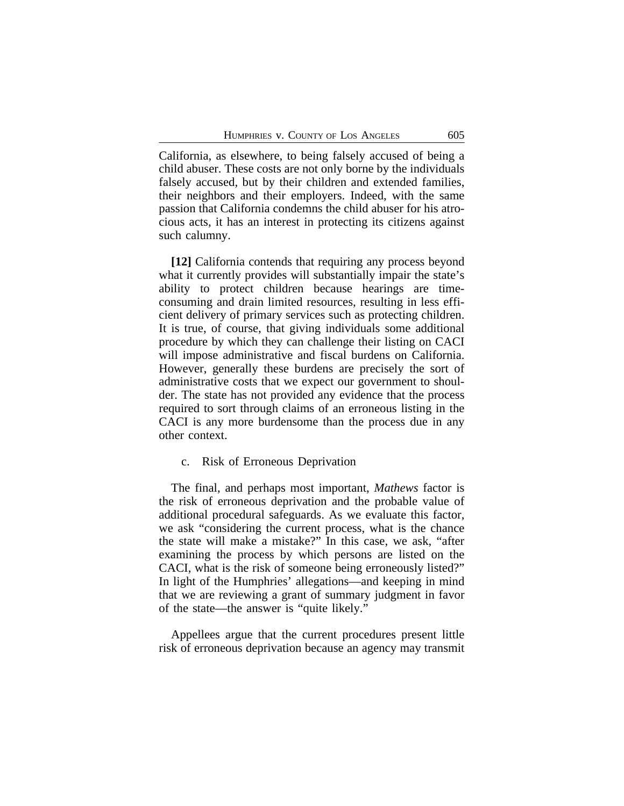California, as elsewhere, to being falsely accused of being a child abuser. These costs are not only borne by the individuals falsely accused, but by their children and extended families, their neighbors and their employers. Indeed, with the same passion that California condemns the child abuser for his atrocious acts, it has an interest in protecting its citizens against such calumny.

**[12]** California contends that requiring any process beyond what it currently provides will substantially impair the state's ability to protect children because hearings are timeconsuming and drain limited resources, resulting in less efficient delivery of primary services such as protecting children. It is true, of course, that giving individuals some additional procedure by which they can challenge their listing on CACI will impose administrative and fiscal burdens on California. However, generally these burdens are precisely the sort of administrative costs that we expect our government to shoulder. The state has not provided any evidence that the process required to sort through claims of an erroneous listing in the CACI is any more burdensome than the process due in any other context.

### c. Risk of Erroneous Deprivation

The final, and perhaps most important, *Mathews* factor is the risk of erroneous deprivation and the probable value of additional procedural safeguards. As we evaluate this factor, we ask "considering the current process, what is the chance the state will make a mistake?" In this case, we ask, "after examining the process by which persons are listed on the CACI, what is the risk of someone being erroneously listed?" In light of the Humphries' allegations—and keeping in mind that we are reviewing a grant of summary judgment in favor of the state—the answer is "quite likely."

Appellees argue that the current procedures present little risk of erroneous deprivation because an agency may transmit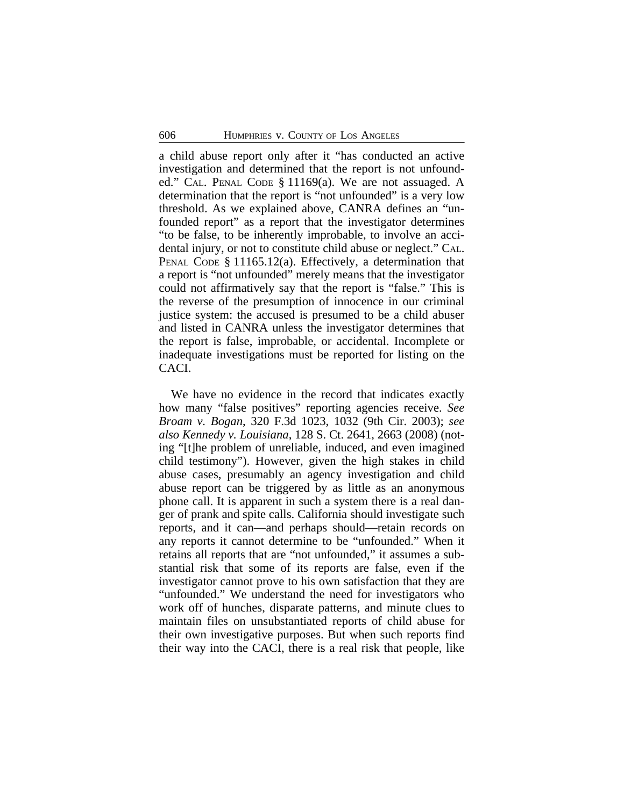a child abuse report only after it "has conducted an active investigation and determined that the report is not unfounded." CAL. PENAL CODE § 11169(a). We are not assuaged. A determination that the report is "not unfounded" is a very low threshold. As we explained above, CANRA defines an "unfounded report" as a report that the investigator determines "to be false, to be inherently improbable, to involve an accidental injury, or not to constitute child abuse or neglect." CAL. PENAL CODE § 11165.12(a). Effectively, a determination that a report is "not unfounded" merely means that the investigator could not affirmatively say that the report is "false." This is the reverse of the presumption of innocence in our criminal justice system: the accused is presumed to be a child abuser and listed in CANRA unless the investigator determines that the report is false, improbable, or accidental. Incomplete or inadequate investigations must be reported for listing on the CACI.

We have no evidence in the record that indicates exactly how many "false positives" reporting agencies receive. *See Broam v. Bogan*, 320 F.3d 1023, 1032 (9th Cir. 2003); *see also Kennedy v. Louisiana*, 128 S. Ct. 2641, 2663 (2008) (noting "[t]he problem of unreliable, induced, and even imagined child testimony"). However, given the high stakes in child abuse cases, presumably an agency investigation and child abuse report can be triggered by as little as an anonymous phone call. It is apparent in such a system there is a real danger of prank and spite calls. California should investigate such reports, and it can—and perhaps should—retain records on any reports it cannot determine to be "unfounded." When it retains all reports that are "not unfounded," it assumes a substantial risk that some of its reports are false, even if the investigator cannot prove to his own satisfaction that they are "unfounded." We understand the need for investigators who work off of hunches, disparate patterns, and minute clues to maintain files on unsubstantiated reports of child abuse for their own investigative purposes. But when such reports find their way into the CACI, there is a real risk that people, like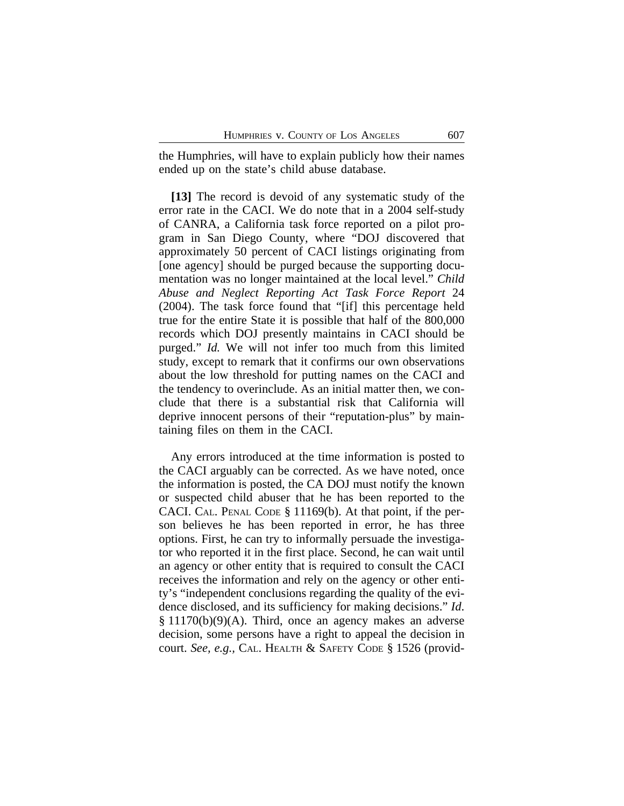the Humphries, will have to explain publicly how their names ended up on the state's child abuse database.

**[13]** The record is devoid of any systematic study of the error rate in the CACI. We do note that in a 2004 self-study of CANRA, a California task force reported on a pilot program in San Diego County, where "DOJ discovered that approximately 50 percent of CACI listings originating from [one agency] should be purged because the supporting documentation was no longer maintained at the local level." *Child Abuse and Neglect Reporting Act Task Force Report* 24 (2004). The task force found that "[if] this percentage held true for the entire State it is possible that half of the 800,000 records which DOJ presently maintains in CACI should be purged." *Id.* We will not infer too much from this limited study, except to remark that it confirms our own observations about the low threshold for putting names on the CACI and the tendency to overinclude. As an initial matter then, we conclude that there is a substantial risk that California will deprive innocent persons of their "reputation-plus" by maintaining files on them in the CACI.

Any errors introduced at the time information is posted to the CACI arguably can be corrected. As we have noted, once the information is posted, the CA DOJ must notify the known or suspected child abuser that he has been reported to the CACI. CAL. PENAL CODE § 11169(b). At that point, if the person believes he has been reported in error, he has three options. First, he can try to informally persuade the investigator who reported it in the first place. Second, he can wait until an agency or other entity that is required to consult the CACI receives the information and rely on the agency or other entity's "independent conclusions regarding the quality of the evidence disclosed, and its sufficiency for making decisions." *Id*. § 11170(b)(9)(A). Third, once an agency makes an adverse decision, some persons have a right to appeal the decision in court. *See, e.g.,* CAL. HEALTH & SAFETY CODE § 1526 (provid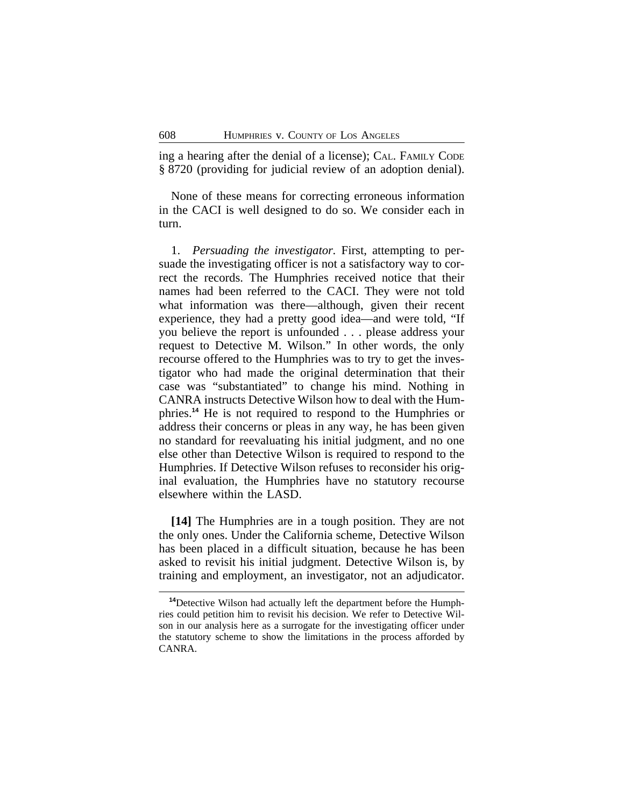ing a hearing after the denial of a license); CAL. FAMILY CODE § 8720 (providing for judicial review of an adoption denial).

None of these means for correcting erroneous information in the CACI is well designed to do so. We consider each in turn.

1. *Persuading the investigator.* First, attempting to persuade the investigating officer is not a satisfactory way to correct the records. The Humphries received notice that their names had been referred to the CACI. They were not told what information was there—although, given their recent experience, they had a pretty good idea—and were told, "If you believe the report is unfounded . . . please address your request to Detective M. Wilson." In other words, the only recourse offered to the Humphries was to try to get the investigator who had made the original determination that their case was "substantiated" to change his mind. Nothing in CANRA instructs Detective Wilson how to deal with the Humphries.**<sup>14</sup>** He is not required to respond to the Humphries or address their concerns or pleas in any way, he has been given no standard for reevaluating his initial judgment, and no one else other than Detective Wilson is required to respond to the Humphries. If Detective Wilson refuses to reconsider his original evaluation, the Humphries have no statutory recourse elsewhere within the LASD.

**[14]** The Humphries are in a tough position. They are not the only ones. Under the California scheme, Detective Wilson has been placed in a difficult situation, because he has been asked to revisit his initial judgment. Detective Wilson is, by training and employment, an investigator, not an adjudicator.

**<sup>14</sup>**Detective Wilson had actually left the department before the Humphries could petition him to revisit his decision. We refer to Detective Wilson in our analysis here as a surrogate for the investigating officer under the statutory scheme to show the limitations in the process afforded by CANRA.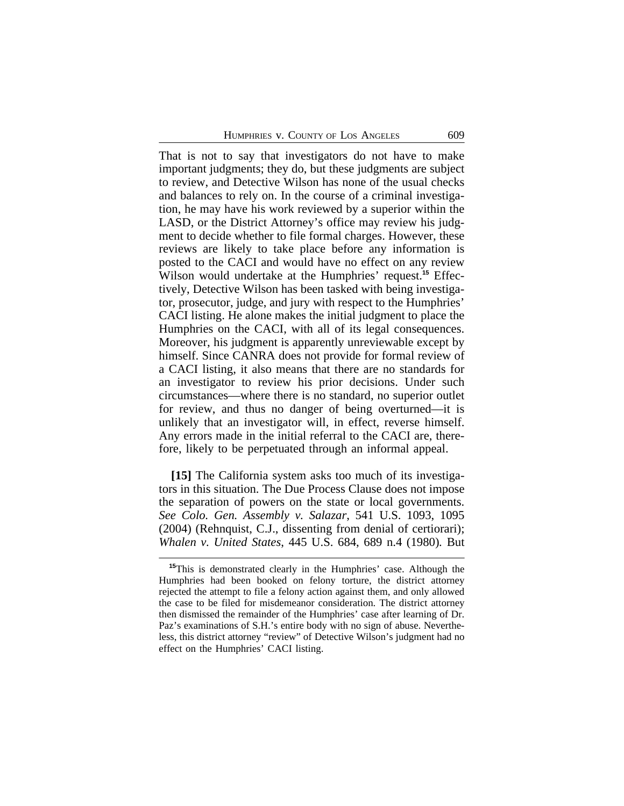That is not to say that investigators do not have to make important judgments; they do, but these judgments are subject to review, and Detective Wilson has none of the usual checks and balances to rely on. In the course of a criminal investigation, he may have his work reviewed by a superior within the LASD, or the District Attorney's office may review his judgment to decide whether to file formal charges. However, these reviews are likely to take place before any information is posted to the CACI and would have no effect on any review Wilson would undertake at the Humphries' request.**15** Effectively, Detective Wilson has been tasked with being investigator, prosecutor, judge, and jury with respect to the Humphries' CACI listing. He alone makes the initial judgment to place the Humphries on the CACI, with all of its legal consequences. Moreover, his judgment is apparently unreviewable except by himself. Since CANRA does not provide for formal review of a CACI listing, it also means that there are no standards for an investigator to review his prior decisions. Under such circumstances—where there is no standard, no superior outlet for review, and thus no danger of being overturned—it is unlikely that an investigator will, in effect, reverse himself. Any errors made in the initial referral to the CACI are, therefore, likely to be perpetuated through an informal appeal.

**[15]** The California system asks too much of its investigators in this situation. The Due Process Clause does not impose the separation of powers on the state or local governments. *See Colo. Gen. Assembly v. Salazar*, 541 U.S. 1093, 1095 (2004) (Rehnquist, C.J., dissenting from denial of certiorari); *Whalen v. United States*, 445 U.S. 684, 689 n.4 (1980)*.* But

**<sup>15</sup>**This is demonstrated clearly in the Humphries' case. Although the Humphries had been booked on felony torture, the district attorney rejected the attempt to file a felony action against them, and only allowed the case to be filed for misdemeanor consideration. The district attorney then dismissed the remainder of the Humphries' case after learning of Dr. Paz's examinations of S.H.'s entire body with no sign of abuse. Nevertheless, this district attorney "review" of Detective Wilson's judgment had no effect on the Humphries' CACI listing.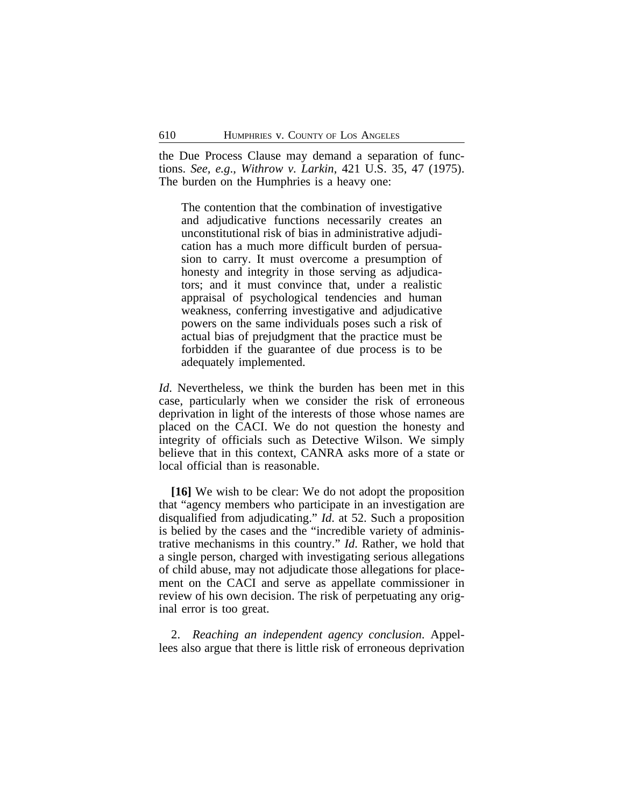the Due Process Clause may demand a separation of functions. *See, e.g*., *Withrow v. Larkin*, 421 U.S. 35, 47 (1975). The burden on the Humphries is a heavy one:

The contention that the combination of investigative and adjudicative functions necessarily creates an unconstitutional risk of bias in administrative adjudication has a much more difficult burden of persuasion to carry. It must overcome a presumption of honesty and integrity in those serving as adjudicators; and it must convince that, under a realistic appraisal of psychological tendencies and human weakness, conferring investigative and adjudicative powers on the same individuals poses such a risk of actual bias of prejudgment that the practice must be forbidden if the guarantee of due process is to be adequately implemented.

*Id*. Nevertheless, we think the burden has been met in this case, particularly when we consider the risk of erroneous deprivation in light of the interests of those whose names are placed on the CACI. We do not question the honesty and integrity of officials such as Detective Wilson. We simply believe that in this context, CANRA asks more of a state or local official than is reasonable.

**[16]** We wish to be clear: We do not adopt the proposition that "agency members who participate in an investigation are disqualified from adjudicating." *Id*. at 52. Such a proposition is belied by the cases and the "incredible variety of administrative mechanisms in this country." *Id*. Rather, we hold that a single person, charged with investigating serious allegations of child abuse, may not adjudicate those allegations for placement on the CACI and serve as appellate commissioner in review of his own decision. The risk of perpetuating any original error is too great.

2. *Reaching an independent agency conclusion*. Appellees also argue that there is little risk of erroneous deprivation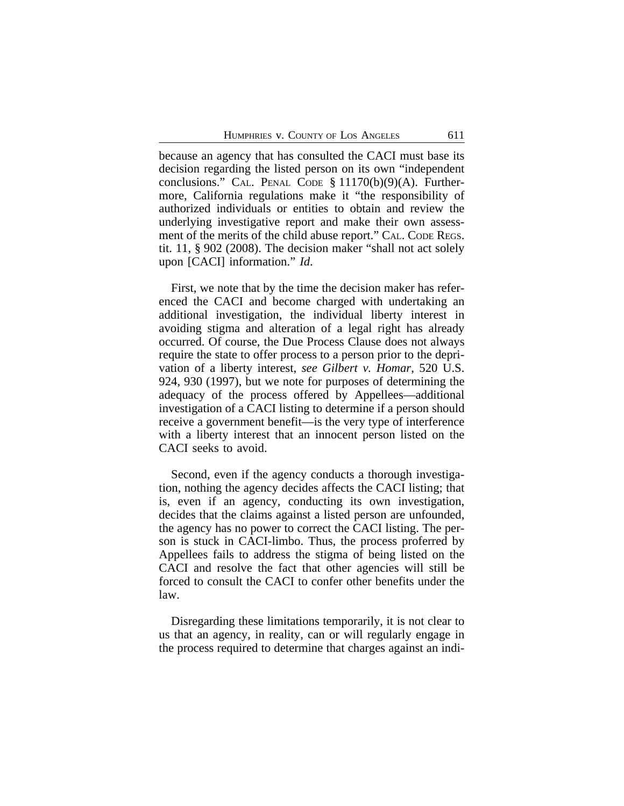because an agency that has consulted the CACI must base its decision regarding the listed person on its own "independent conclusions." CAL. PENAL CODE § 11170(b)(9)(A). Furthermore, California regulations make it "the responsibility of authorized individuals or entities to obtain and review the underlying investigative report and make their own assessment of the merits of the child abuse report." CAL. CODE REGS. tit. 11, § 902 (2008). The decision maker "shall not act solely upon [CACI] information." *Id*.

First, we note that by the time the decision maker has referenced the CACI and become charged with undertaking an additional investigation, the individual liberty interest in avoiding stigma and alteration of a legal right has already occurred. Of course, the Due Process Clause does not always require the state to offer process to a person prior to the deprivation of a liberty interest, *see Gilbert v. Homar*, 520 U.S. 924, 930 (1997), but we note for purposes of determining the adequacy of the process offered by Appellees—additional investigation of a CACI listing to determine if a person should receive a government benefit—is the very type of interference with a liberty interest that an innocent person listed on the CACI seeks to avoid.

Second, even if the agency conducts a thorough investigation, nothing the agency decides affects the CACI listing; that is, even if an agency, conducting its own investigation, decides that the claims against a listed person are unfounded, the agency has no power to correct the CACI listing. The person is stuck in CACI-limbo. Thus, the process proferred by Appellees fails to address the stigma of being listed on the CACI and resolve the fact that other agencies will still be forced to consult the CACI to confer other benefits under the law.

Disregarding these limitations temporarily, it is not clear to us that an agency, in reality, can or will regularly engage in the process required to determine that charges against an indi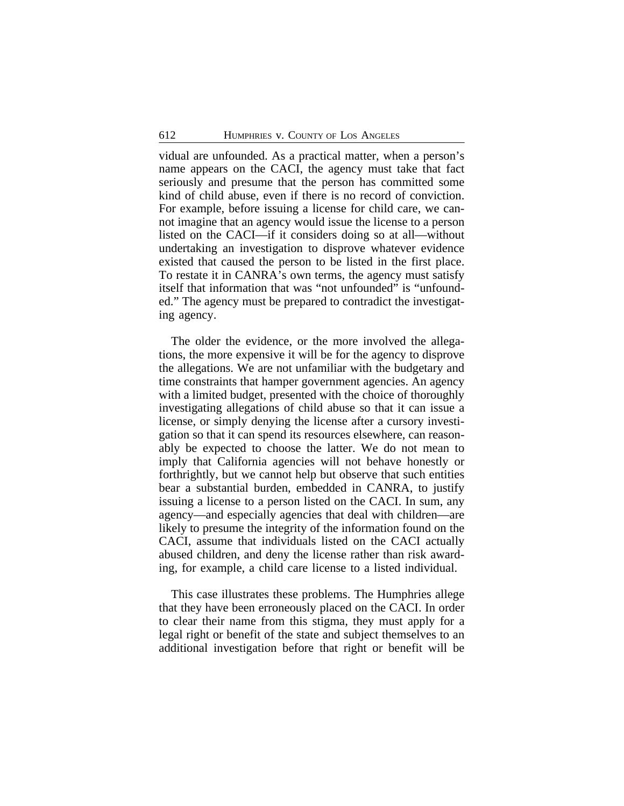vidual are unfounded. As a practical matter, when a person's name appears on the CACI, the agency must take that fact seriously and presume that the person has committed some kind of child abuse, even if there is no record of conviction. For example, before issuing a license for child care, we cannot imagine that an agency would issue the license to a person listed on the CACI—if it considers doing so at all—without undertaking an investigation to disprove whatever evidence existed that caused the person to be listed in the first place. To restate it in CANRA's own terms, the agency must satisfy itself that information that was "not unfounded" is "unfounded." The agency must be prepared to contradict the investigating agency.

The older the evidence, or the more involved the allegations, the more expensive it will be for the agency to disprove the allegations. We are not unfamiliar with the budgetary and time constraints that hamper government agencies. An agency with a limited budget, presented with the choice of thoroughly investigating allegations of child abuse so that it can issue a license, or simply denying the license after a cursory investigation so that it can spend its resources elsewhere, can reasonably be expected to choose the latter. We do not mean to imply that California agencies will not behave honestly or forthrightly, but we cannot help but observe that such entities bear a substantial burden, embedded in CANRA, to justify issuing a license to a person listed on the CACI. In sum, any agency—and especially agencies that deal with children—are likely to presume the integrity of the information found on the CACI, assume that individuals listed on the CACI actually abused children, and deny the license rather than risk awarding, for example, a child care license to a listed individual.

This case illustrates these problems. The Humphries allege that they have been erroneously placed on the CACI. In order to clear their name from this stigma, they must apply for a legal right or benefit of the state and subject themselves to an additional investigation before that right or benefit will be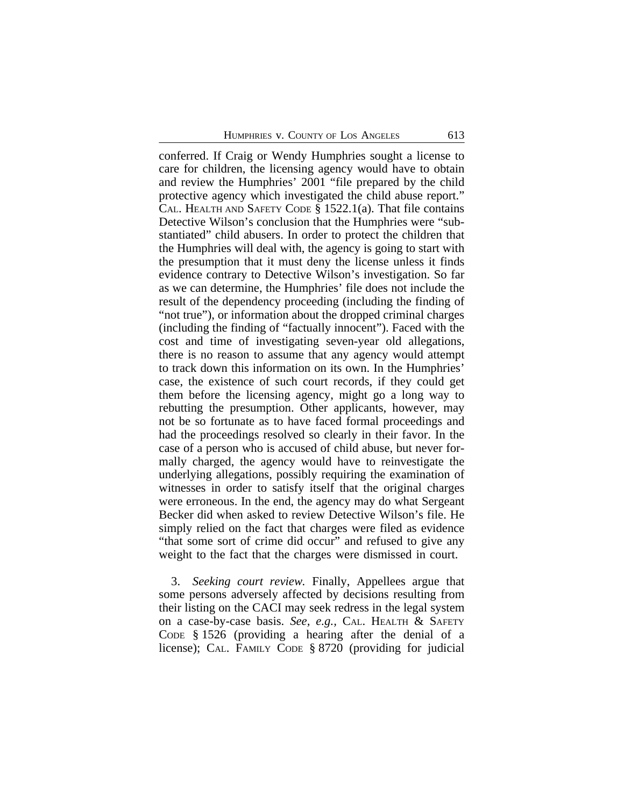conferred. If Craig or Wendy Humphries sought a license to care for children, the licensing agency would have to obtain and review the Humphries' 2001 "file prepared by the child protective agency which investigated the child abuse report." CAL. HEALTH AND SAFETY CODE § 1522.1(a). That file contains Detective Wilson's conclusion that the Humphries were "substantiated" child abusers. In order to protect the children that the Humphries will deal with, the agency is going to start with the presumption that it must deny the license unless it finds evidence contrary to Detective Wilson's investigation. So far as we can determine, the Humphries' file does not include the result of the dependency proceeding (including the finding of "not true"), or information about the dropped criminal charges (including the finding of "factually innocent"). Faced with the cost and time of investigating seven-year old allegations, there is no reason to assume that any agency would attempt to track down this information on its own. In the Humphries' case, the existence of such court records, if they could get them before the licensing agency, might go a long way to rebutting the presumption. Other applicants, however, may not be so fortunate as to have faced formal proceedings and had the proceedings resolved so clearly in their favor. In the case of a person who is accused of child abuse, but never formally charged, the agency would have to reinvestigate the underlying allegations, possibly requiring the examination of witnesses in order to satisfy itself that the original charges were erroneous. In the end, the agency may do what Sergeant Becker did when asked to review Detective Wilson's file. He simply relied on the fact that charges were filed as evidence "that some sort of crime did occur" and refused to give any weight to the fact that the charges were dismissed in court.

3. *Seeking court review.* Finally, Appellees argue that some persons adversely affected by decisions resulting from their listing on the CACI may seek redress in the legal system on a case-by-case basis. *See, e.g.,* CAL. HEALTH & SAFETY CODE § 1526 (providing a hearing after the denial of a license); CAL. FAMILY CODE § 8720 (providing for judicial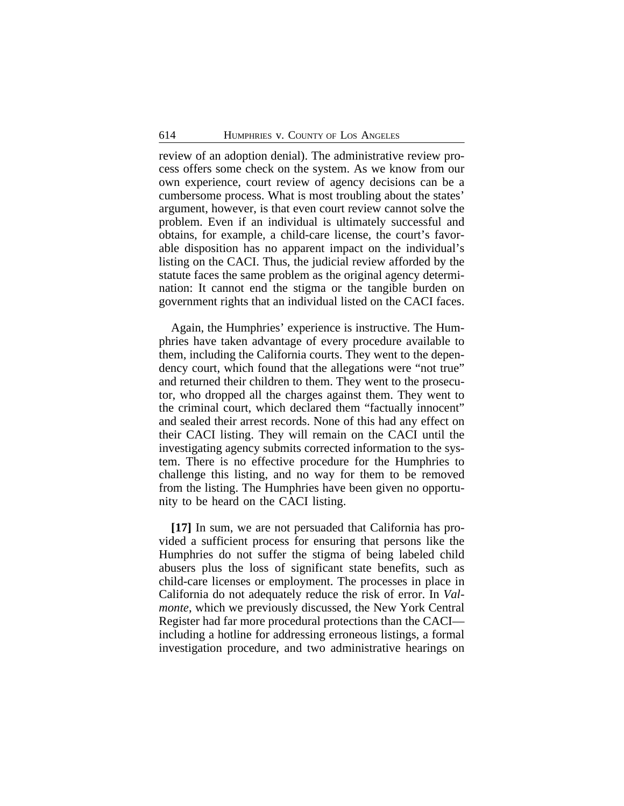review of an adoption denial). The administrative review process offers some check on the system. As we know from our own experience, court review of agency decisions can be a cumbersome process. What is most troubling about the states' argument, however, is that even court review cannot solve the problem. Even if an individual is ultimately successful and obtains, for example, a child-care license, the court's favorable disposition has no apparent impact on the individual's listing on the CACI. Thus, the judicial review afforded by the statute faces the same problem as the original agency determination: It cannot end the stigma or the tangible burden on government rights that an individual listed on the CACI faces.

Again, the Humphries' experience is instructive. The Humphries have taken advantage of every procedure available to them, including the California courts. They went to the dependency court, which found that the allegations were "not true" and returned their children to them. They went to the prosecutor, who dropped all the charges against them. They went to the criminal court, which declared them "factually innocent" and sealed their arrest records. None of this had any effect on their CACI listing. They will remain on the CACI until the investigating agency submits corrected information to the system. There is no effective procedure for the Humphries to challenge this listing, and no way for them to be removed from the listing. The Humphries have been given no opportunity to be heard on the CACI listing.

**[17]** In sum, we are not persuaded that California has provided a sufficient process for ensuring that persons like the Humphries do not suffer the stigma of being labeled child abusers plus the loss of significant state benefits, such as child-care licenses or employment. The processes in place in California do not adequately reduce the risk of error. In *Valmonte*, which we previously discussed, the New York Central Register had far more procedural protections than the CACI including a hotline for addressing erroneous listings, a formal investigation procedure, and two administrative hearings on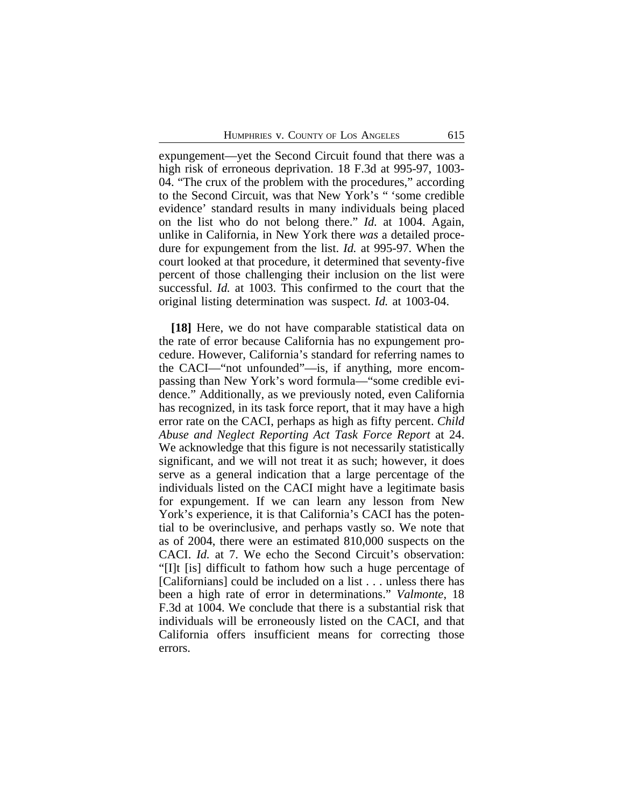expungement—yet the Second Circuit found that there was a high risk of erroneous deprivation. 18 F.3d at 995-97, 1003-04. "The crux of the problem with the procedures," according to the Second Circuit, was that New York's " 'some credible evidence' standard results in many individuals being placed on the list who do not belong there." *Id.* at 1004. Again, unlike in California, in New York there *was* a detailed procedure for expungement from the list. *Id.* at 995-97. When the court looked at that procedure, it determined that seventy-five percent of those challenging their inclusion on the list were successful. *Id.* at 1003. This confirmed to the court that the original listing determination was suspect. *Id.* at 1003-04.

**[18]** Here, we do not have comparable statistical data on the rate of error because California has no expungement procedure. However, California's standard for referring names to the CACI—"not unfounded"—is, if anything, more encompassing than New York's word formula—"some credible evidence." Additionally, as we previously noted, even California has recognized, in its task force report, that it may have a high error rate on the CACI, perhaps as high as fifty percent. *Child Abuse and Neglect Reporting Act Task Force Report* at 24. We acknowledge that this figure is not necessarily statistically significant, and we will not treat it as such; however, it does serve as a general indication that a large percentage of the individuals listed on the CACI might have a legitimate basis for expungement. If we can learn any lesson from New York's experience, it is that California's CACI has the potential to be overinclusive, and perhaps vastly so. We note that as of 2004, there were an estimated 810,000 suspects on the CACI. *Id.* at 7. We echo the Second Circuit's observation: "[I]t [is] difficult to fathom how such a huge percentage of [Californians] could be included on a list . . . unless there has been a high rate of error in determinations." *Valmonte*, 18 F.3d at 1004. We conclude that there is a substantial risk that individuals will be erroneously listed on the CACI, and that California offers insufficient means for correcting those errors.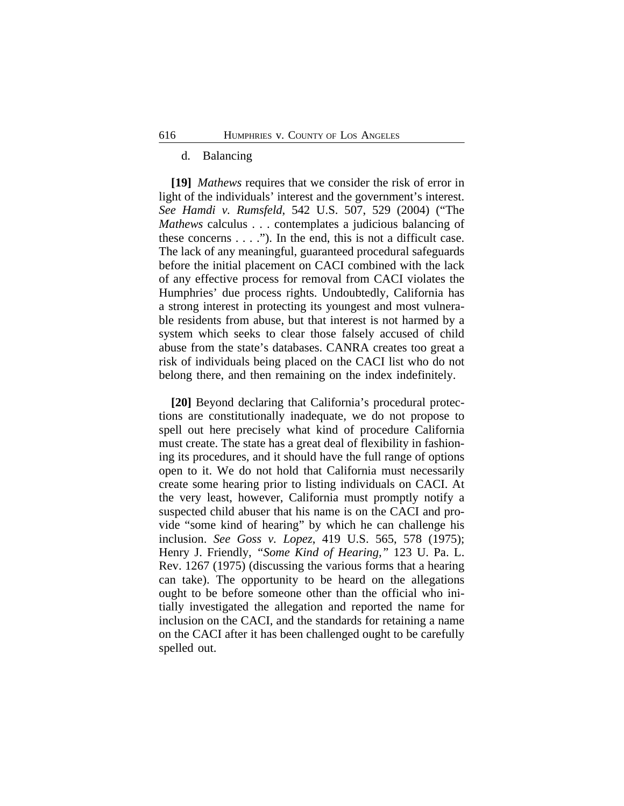# d. Balancing

**[19]** *Mathews* requires that we consider the risk of error in light of the individuals' interest and the government's interest. *See Hamdi v. Rumsfeld*, 542 U.S. 507, 529 (2004) ("The *Mathews* calculus . . . contemplates a judicious balancing of these concerns  $\dots$ ."). In the end, this is not a difficult case. The lack of any meaningful, guaranteed procedural safeguards before the initial placement on CACI combined with the lack of any effective process for removal from CACI violates the Humphries' due process rights. Undoubtedly, California has a strong interest in protecting its youngest and most vulnerable residents from abuse, but that interest is not harmed by a system which seeks to clear those falsely accused of child abuse from the state's databases. CANRA creates too great a risk of individuals being placed on the CACI list who do not belong there, and then remaining on the index indefinitely.

**[20]** Beyond declaring that California's procedural protections are constitutionally inadequate, we do not propose to spell out here precisely what kind of procedure California must create. The state has a great deal of flexibility in fashioning its procedures, and it should have the full range of options open to it. We do not hold that California must necessarily create some hearing prior to listing individuals on CACI. At the very least, however, California must promptly notify a suspected child abuser that his name is on the CACI and provide "some kind of hearing" by which he can challenge his inclusion. *See Goss v. Lopez*, 419 U.S. 565, 578 (1975); Henry J. Friendly, *"Some Kind of Hearing,"* 123 U. Pa. L. Rev. 1267 (1975) (discussing the various forms that a hearing can take). The opportunity to be heard on the allegations ought to be before someone other than the official who initially investigated the allegation and reported the name for inclusion on the CACI, and the standards for retaining a name on the CACI after it has been challenged ought to be carefully spelled out.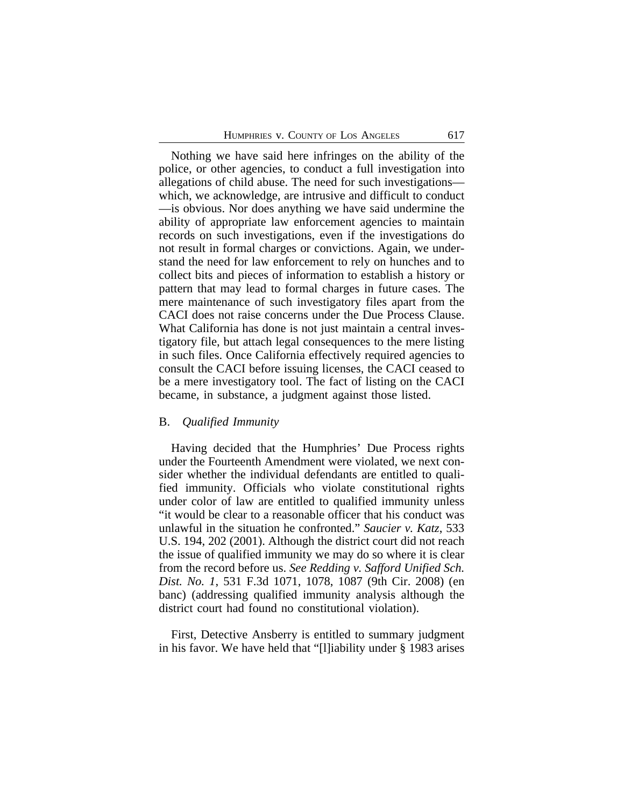Nothing we have said here infringes on the ability of the police, or other agencies, to conduct a full investigation into allegations of child abuse. The need for such investigations which, we acknowledge, are intrusive and difficult to conduct —is obvious. Nor does anything we have said undermine the ability of appropriate law enforcement agencies to maintain records on such investigations, even if the investigations do not result in formal charges or convictions. Again, we understand the need for law enforcement to rely on hunches and to collect bits and pieces of information to establish a history or pattern that may lead to formal charges in future cases. The mere maintenance of such investigatory files apart from the CACI does not raise concerns under the Due Process Clause. What California has done is not just maintain a central investigatory file, but attach legal consequences to the mere listing in such files. Once California effectively required agencies to consult the CACI before issuing licenses, the CACI ceased to be a mere investigatory tool. The fact of listing on the CACI became, in substance, a judgment against those listed.

#### B. *Qualified Immunity*

Having decided that the Humphries' Due Process rights under the Fourteenth Amendment were violated, we next consider whether the individual defendants are entitled to qualified immunity. Officials who violate constitutional rights under color of law are entitled to qualified immunity unless "it would be clear to a reasonable officer that his conduct was unlawful in the situation he confronted." *Saucier v. Katz*, 533 U.S. 194, 202 (2001). Although the district court did not reach the issue of qualified immunity we may do so where it is clear from the record before us. *See Redding v. Safford Unified Sch. Dist. No. 1*, 531 F.3d 1071, 1078, 1087 (9th Cir. 2008) (en banc) (addressing qualified immunity analysis although the district court had found no constitutional violation).

First, Detective Ansberry is entitled to summary judgment in his favor. We have held that "[l]iability under § 1983 arises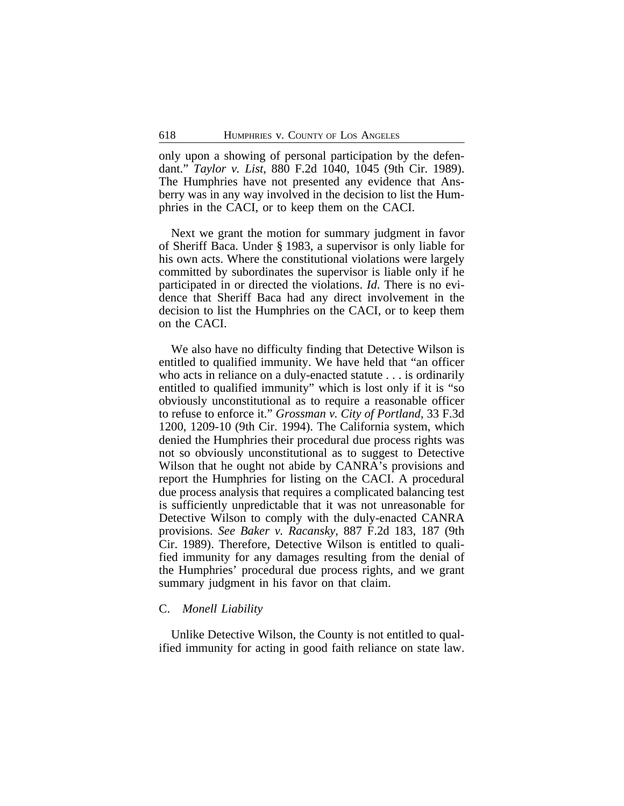only upon a showing of personal participation by the defendant." *Taylor v. List*, 880 F.2d 1040, 1045 (9th Cir. 1989). The Humphries have not presented any evidence that Ansberry was in any way involved in the decision to list the Humphries in the CACI, or to keep them on the CACI.

Next we grant the motion for summary judgment in favor of Sheriff Baca. Under § 1983, a supervisor is only liable for his own acts. Where the constitutional violations were largely committed by subordinates the supervisor is liable only if he participated in or directed the violations. *Id*. There is no evidence that Sheriff Baca had any direct involvement in the decision to list the Humphries on the CACI, or to keep them on the CACI.

We also have no difficulty finding that Detective Wilson is entitled to qualified immunity. We have held that "an officer who acts in reliance on a duly-enacted statute . . . is ordinarily entitled to qualified immunity" which is lost only if it is "so obviously unconstitutional as to require a reasonable officer to refuse to enforce it." *Grossman v. City of Portland*, 33 F.3d 1200, 1209-10 (9th Cir. 1994). The California system, which denied the Humphries their procedural due process rights was not so obviously unconstitutional as to suggest to Detective Wilson that he ought not abide by CANRA's provisions and report the Humphries for listing on the CACI. A procedural due process analysis that requires a complicated balancing test is sufficiently unpredictable that it was not unreasonable for Detective Wilson to comply with the duly-enacted CANRA provisions. *See Baker v. Racansky*, 887 F.2d 183, 187 (9th Cir. 1989). Therefore, Detective Wilson is entitled to qualified immunity for any damages resulting from the denial of the Humphries' procedural due process rights, and we grant summary judgment in his favor on that claim.

#### C. *Monell Liability*

Unlike Detective Wilson, the County is not entitled to qualified immunity for acting in good faith reliance on state law.